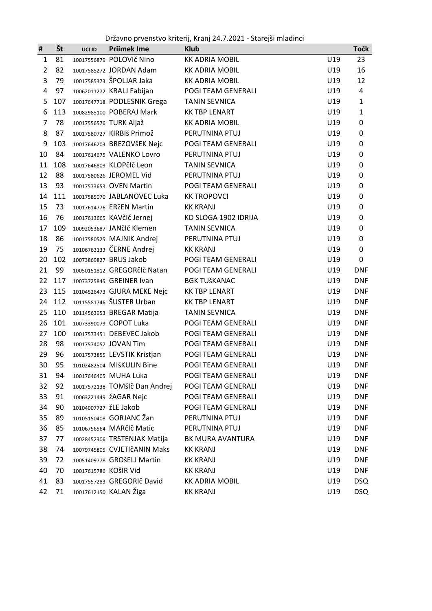Državno prvenstvo kriterij, Kranj 24.7.2021 - Starejši mladinci

| #              | Št  | UCI ID                | <b>Priimek Ime</b>            | <b>Klub</b>           |     | Točk         |
|----------------|-----|-----------------------|-------------------------------|-----------------------|-----|--------------|
| $\mathbf{1}$   | 81  |                       | 10017556879 POLOVIč Nino      | <b>KK ADRIA MOBIL</b> | U19 | 23           |
| $\overline{2}$ | 82  |                       | 10017585272 JORDAN Adam       | <b>KK ADRIA MOBIL</b> | U19 | 16           |
| 3              | 79  |                       | 10017585373 ŠPOLJAR Jaka      | <b>KK ADRIA MOBIL</b> | U19 | 12           |
| 4              | 97  |                       | 10062011272 KRALJ Fabijan     | POGI TEAM GENERALI    | U19 | 4            |
| 5              | 107 |                       | 10017647718 PODLESNIK Grega   | <b>TANIN SEVNICA</b>  | U19 | 1            |
| 6              | 113 |                       | 10082985100 POBERAJ Mark      | <b>KK TBP LENART</b>  | U19 | $\mathbf{1}$ |
| $\overline{7}$ | 78  |                       | 10017556576 TURK Aljaž        | <b>KK ADRIA MOBIL</b> | U19 | 0            |
| 8              | 87  |                       | 10017580727 KIRBIŠ Primož     | PERUTNINA PTUJ        | U19 | 0            |
| 9              | 103 |                       | 10017646203 BREZOVŠEK Nejc    | POGI TEAM GENERALI    | U19 | 0            |
| 10             | 84  |                       | 10017614675 VALENKO Lovro     | PERUTNINA PTUJ        | U19 | 0            |
| 11             | 108 |                       | 10017646809 KLOPčIč Leon      | <b>TANIN SEVNICA</b>  | U19 | 0            |
| 12             | 88  |                       | 10017580626 JEROMEL Vid       | PERUTNINA PTUJ        | U19 | 0            |
| 13             | 93  |                       | 10017573653 OVEN Martin       | POGI TEAM GENERALI    | U19 | 0            |
| 14             | 111 |                       | 10017585070 JABLANOVEC Luka   | <b>KK TROPOVCI</b>    | U19 | 0            |
| 15             | 73  |                       | 10017614776 ERŽEN Martin      | <b>KK KRANJ</b>       | U19 | 0            |
| 16             | 76  |                       | 10017613665 KAVčIč Jernej     | KD SLOGA 1902 IDRIJA  | U19 | 0            |
| 17             | 109 |                       | 10092053687 JANčIč Klemen     | <b>TANIN SEVNICA</b>  | U19 | 0            |
| 18             | 86  |                       | 10017580525 MAJNIK Andrej     | PERUTNINA PTUJ        | U19 | 0            |
| 19             | 75  |                       | 10106763133 ČERNE Andrej      | <b>KK KRANJ</b>       | U19 | 0            |
| 20             | 102 |                       | 10073869827 BRUS Jakob        | POGI TEAM GENERALI    | U19 | 0            |
| 21             | 99  |                       | 10050151812 GREGORčIč Natan   | POGI TEAM GENERALI    | U19 | <b>DNF</b>   |
| 22             | 117 |                       | 10073725845 GREINER Ivan      | <b>BGK TUŠKANAC</b>   | U19 | <b>DNF</b>   |
| 23             | 115 |                       | 10104526473 GJURA MEKE Nejc   | <b>KK TBP LENART</b>  | U19 | <b>DNF</b>   |
| 24             | 112 |                       | 10115581746 ŠUSTER Urban      | <b>KK TBP LENART</b>  | U19 | <b>DNF</b>   |
| 25             | 110 |                       | 10114563953 BREGAR Matija     | <b>TANIN SEVNICA</b>  | U19 | <b>DNF</b>   |
| 26             | 101 |                       | 10073390079 COPOT Luka        | POGI TEAM GENERALI    | U19 | <b>DNF</b>   |
| 27             | 100 |                       | 10017573451 DEBEVEC Jakob     | POGI TEAM GENERALI    | U19 | <b>DNF</b>   |
| 28             | 98  |                       | 10017574057 JOVAN Tim         | POGI TEAM GENERALI    | U19 | <b>DNF</b>   |
| 29             | 96  |                       | 10017573855 LEVSTIK Kristjan  | POGI TEAM GENERALI    | U19 | <b>DNF</b>   |
| 30             | 95  |                       | 10102482504 MIŠKULIN Bine     | POGI TEAM GENERALI    | U19 | <b>DNF</b>   |
| 31             | 94  |                       | 10017646405 MUHA Luka         | POGI TEAM GENERALI    | U19 | <b>DNF</b>   |
| 32             | 92  |                       | 10017572138 TOMŠIČ Dan Andrej | POGI TEAM GENERALI    | U19 | <b>DNF</b>   |
| 33             | 91  |                       | 10063221449 ŽAGAR Nejc        | POGI TEAM GENERALI    | U19 | <b>DNF</b>   |
| 34             | 90  | 10104007727 žLE Jakob |                               | POGI TEAM GENERALI    | U19 | <b>DNF</b>   |
| 35             | 89  |                       | 10105150408 GORJANC Žan       | PERUTNINA PTUJ        | U19 | <b>DNF</b>   |
| 36             | 85  |                       | 10106756564 MARčIč Matic      | PERUTNINA PTUJ        | U19 | <b>DNF</b>   |
| 37             | 77  |                       | 10028452306 TRSTENJAK Matija  | BK MURA AVANTURA      | U19 | <b>DNF</b>   |
| 38             | 74  |                       | 10079745805 CVJETIčANIN Maks  | <b>KK KRANJ</b>       | U19 | <b>DNF</b>   |
| 39             | 72  |                       | 10051409778 GROŠELJ Martin    | <b>KK KRANJ</b>       | U19 | <b>DNF</b>   |
| 40             | 70  | 10017615786 KOŠIR Vid |                               | <b>KK KRANJ</b>       | U19 | <b>DNF</b>   |
| 41             | 83  |                       | 10017557283 GREGORIč David    | <b>KK ADRIA MOBIL</b> | U19 | <b>DSQ</b>   |
| 42             | 71  |                       | 10017612150 KALAN Žiga        | <b>KK KRANJ</b>       | U19 | <b>DSQ</b>   |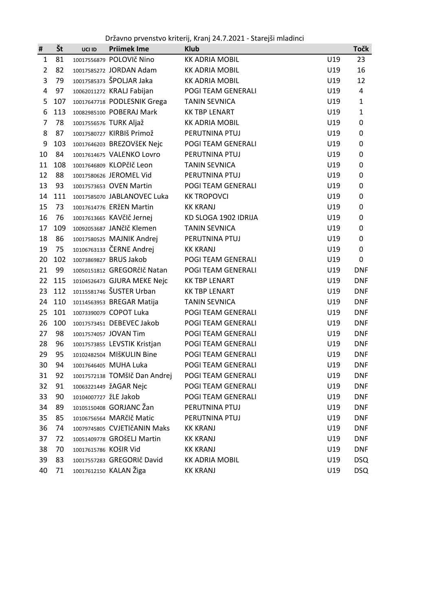Državno prvenstvo kriterij, Kranj 24.7.2021 - Starejši mladinci

| #              | Št  | UCI ID                | <b>Priimek Ime</b>            | <b>Klub</b>           |     | Točk         |
|----------------|-----|-----------------------|-------------------------------|-----------------------|-----|--------------|
| $\mathbf{1}$   | 81  |                       | 10017556879 POLOVIč Nino      | <b>KK ADRIA MOBIL</b> | U19 | 23           |
| $\overline{2}$ | 82  |                       | 10017585272 JORDAN Adam       | <b>KK ADRIA MOBIL</b> | U19 | 16           |
| 3              | 79  |                       | 10017585373 ŠPOLJAR Jaka      | <b>KK ADRIA MOBIL</b> | U19 | 12           |
| 4              | 97  |                       | 10062011272 KRALJ Fabijan     | POGI TEAM GENERALI    | U19 | 4            |
| 5              | 107 |                       | 10017647718 PODLESNIK Grega   | <b>TANIN SEVNICA</b>  | U19 | $\mathbf{1}$ |
| 6              | 113 |                       | 10082985100 POBERAJ Mark      | <b>KK TBP LENART</b>  | U19 | $\mathbf{1}$ |
| $\overline{7}$ | 78  |                       | 10017556576 TURK Aljaž        | <b>KK ADRIA MOBIL</b> | U19 | 0            |
| 8              | 87  |                       | 10017580727 KIRBIŠ Primož     | PERUTNINA PTUJ        | U19 | 0            |
| 9              | 103 |                       | 10017646203 BREZOVŠEK Nejc    | POGI TEAM GENERALI    | U19 | 0            |
| 10             | 84  |                       | 10017614675 VALENKO Lovro     | PERUTNINA PTUJ        | U19 | 0            |
| 11             | 108 |                       | 10017646809 KLOPčIč Leon      | <b>TANIN SEVNICA</b>  | U19 | 0            |
| 12             | 88  |                       | 10017580626 JEROMEL Vid       | PERUTNINA PTUJ        | U19 | 0            |
| 13             | 93  |                       | 10017573653 OVEN Martin       | POGI TEAM GENERALI    | U19 | 0            |
| 14             | 111 |                       | 10017585070 JABLANOVEC Luka   | <b>KK TROPOVCI</b>    | U19 | 0            |
| 15             | 73  |                       | 10017614776 ERŽEN Martin      | <b>KK KRANJ</b>       | U19 | 0            |
| 16             | 76  |                       | 10017613665 KAVčIč Jernej     | KD SLOGA 1902 IDRIJA  | U19 | 0            |
| 17             | 109 |                       | 10092053687 JANčIč Klemen     | <b>TANIN SEVNICA</b>  | U19 | 0            |
| 18             | 86  |                       | 10017580525 MAJNIK Andrej     | PERUTNINA PTUJ        | U19 | 0            |
| 19             | 75  |                       | 10106763133 ČERNE Andrej      | <b>KK KRANJ</b>       | U19 | 0            |
| 20             | 102 |                       | 10073869827 BRUS Jakob        | POGI TEAM GENERALI    | U19 | 0            |
| 21             | 99  |                       | 10050151812 GREGORčIč Natan   | POGI TEAM GENERALI    | U19 | <b>DNF</b>   |
| 22             | 115 |                       | 10104526473 GJURA MEKE Nejc   | <b>KK TBP LENART</b>  | U19 | <b>DNF</b>   |
| 23             | 112 |                       | 10115581746 ŠUSTER Urban      | <b>KK TBP LENART</b>  | U19 | <b>DNF</b>   |
| 24             | 110 |                       | 10114563953 BREGAR Matija     | <b>TANIN SEVNICA</b>  | U19 | <b>DNF</b>   |
| 25             | 101 |                       | 10073390079 COPOT Luka        | POGI TEAM GENERALI    | U19 | <b>DNF</b>   |
| 26             | 100 |                       | 10017573451 DEBEVEC Jakob     | POGI TEAM GENERALI    | U19 | <b>DNF</b>   |
| 27             | 98  |                       | 10017574057 JOVAN Tim         | POGI TEAM GENERALI    | U19 | <b>DNF</b>   |
| 28             | 96  |                       | 10017573855 LEVSTIK Kristjan  | POGI TEAM GENERALI    | U19 | <b>DNF</b>   |
| 29             | 95  |                       | 10102482504 MIŠKULIN Bine     | POGI TEAM GENERALI    | U19 | <b>DNF</b>   |
| 30             | 94  |                       | 10017646405 MUHA Luka         | POGI TEAM GENERALI    | U19 | <b>DNF</b>   |
| 31             | 92  |                       | 10017572138 TOMŠIČ Dan Andrej | POGI TEAM GENERALI    | U19 | <b>DNF</b>   |
| 32             | 91  |                       | 10063221449 ŽAGAR Nejc        | POGI TEAM GENERALI    | U19 | <b>DNF</b>   |
| 33             | 90  | 10104007727 žLE Jakob |                               | POGI TEAM GENERALI    | U19 | <b>DNF</b>   |
| 34             | 89  |                       | 10105150408 GORJANC Žan       | PERUTNINA PTUJ        | U19 | <b>DNF</b>   |
| 35             | 85  |                       | 10106756564 MARčIč Matic      | PERUTNINA PTUJ        | U19 | <b>DNF</b>   |
| 36             | 74  |                       | 10079745805 CVJETIčANIN Maks  | <b>KK KRANJ</b>       | U19 | <b>DNF</b>   |
| 37             | 72  |                       | 10051409778 GROŠELJ Martin    | <b>KK KRANJ</b>       | U19 | <b>DNF</b>   |
| 38             | 70  |                       | 10017615786 KOŠIR Vid         | <b>KK KRANJ</b>       | U19 | <b>DNF</b>   |
| 39             | 83  |                       | 10017557283 GREGORIč David    | <b>KK ADRIA MOBIL</b> | U19 | <b>DSQ</b>   |
| 40             | 71  |                       | 10017612150 KALAN Žiga        | <b>KK KRANJ</b>       | U19 | <b>DSQ</b>   |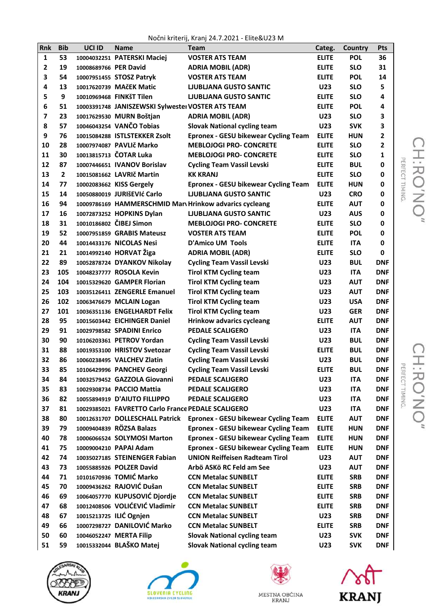Nočni kriterij, Kranj 24.7.2021 - Elite&U23 M

| Rnk          | <b>Bib</b>     | UCI ID                | <b>Name</b>                                        | <b>Team</b>                                             | Categ.       | Country    | Pts            |
|--------------|----------------|-----------------------|----------------------------------------------------|---------------------------------------------------------|--------------|------------|----------------|
| $\mathbf{1}$ | 53             |                       | 10004032251 PATERSKI Maciej                        | <b>VOSTER ATS TEAM</b>                                  | <b>ELITE</b> | <b>POL</b> | 36             |
| 2            | 19             | 10008689766 PER David |                                                    | <b>ADRIA MOBIL (ADR)</b>                                | <b>ELITE</b> | <b>SLO</b> | 31             |
| 3            | 54             |                       | 10007951455 STOSZ Patryk                           | <b>VOSTER ATS TEAM</b>                                  | <b>ELITE</b> | <b>POL</b> | 14             |
| 4            | 13             |                       | 10017620739 MAčEK Matic                            | <b>LIUBLIANA GUSTO SANTIC</b>                           | <b>U23</b>   | <b>SLO</b> | 5              |
| 5            | 9              |                       | 10010969468 FINKŠT Tilen                           | <b>LJUBLJANA GUSTO SANTIC</b>                           | <b>ELITE</b> | <b>SLO</b> | 4              |
| 6            | 51             |                       | 10003391748 JANISZEWSKI Sylwestei VOSTER ATS TEAM  |                                                         | <b>ELITE</b> | <b>POL</b> | 4              |
| 7            | 23             |                       | 10017629530 MURN Boštjan                           | <b>ADRIA MOBIL (ADR)</b>                                | <b>U23</b>   | <b>SLO</b> | 3              |
| 8            | 57             |                       | 10046043254 VANČO Tobias                           | <b>Slovak National cycling team</b>                     | <b>U23</b>   | <b>SVK</b> | 3              |
| 9            | 76             |                       | 10015084288 ISTLSTEKKER Zsolt                      | <b>Epronex - GESU bikewear Cycling Team</b>             | <b>ELITE</b> | <b>HUN</b> | $\mathbf{2}$   |
| 10           | 28             |                       | 10007974087 PAVLIč Marko                           | <b>MEBLOJOGI PRO- CONCRETE</b>                          | <b>ELITE</b> | <b>SLO</b> | $\overline{2}$ |
| 11           | 30             |                       | 10013815713 ČOTAR Luka                             | <b>MEBLOJOGI PRO- CONCRETE</b>                          | <b>ELITE</b> | <b>SLO</b> | 1              |
| 12           | 87             |                       | 10007446651 IVANOV Borislav                        | <b>Cycling Team Vassil Levski</b>                       | <b>ELITE</b> | <b>BUL</b> | 0              |
| 13           | $\overline{2}$ |                       | 10015081662 LAVRIč Martin                          | <b>KK KRANJ</b>                                         | <b>ELITE</b> | <b>SLO</b> | 0              |
| 14           | 77             |                       | 10002083662 KISS Gergely                           | <b>Epronex - GESU bikewear Cycling Team</b>             | <b>ELITE</b> | <b>HUN</b> | 0              |
| 15           | 14             |                       | 10050880019 JURIŠEVIć Carlo                        | <b>LIUBLIANA GUSTO SANTIC</b>                           | <b>U23</b>   | <b>CRO</b> | 0              |
| 16           | 94             |                       |                                                    | 10009786169 HAMMERSCHMID Marv Hrinkow advarics cycleang | <b>ELITE</b> | <b>AUT</b> | 0              |
| 17           | 16             |                       | 10072873252 HOPKINS Dylan                          | <b>LJUBLJANA GUSTO SANTIC</b>                           | <b>U23</b>   | <b>AUS</b> | 0              |
| 18           | 31             |                       | 10010186802 ČIBEJ Simon                            | <b>MEBLOJOGI PRO- CONCRETE</b>                          | <b>ELITE</b> | <b>SLO</b> | 0              |
| 19           | 52             |                       | 10007951859 GRABIS Mateusz                         | <b>VOSTER ATS TEAM</b>                                  | <b>ELITE</b> | <b>POL</b> | 0              |
| 20           | 44             |                       | 10014433176 NICOLAS Nesi                           | <b>D'Amico UM Tools</b>                                 | <b>ELITE</b> | <b>ITA</b> | 0              |
| 21           | 21             |                       | 10014992140 HORVAT Žiga                            | <b>ADRIA MOBIL (ADR)</b>                                | <b>ELITE</b> | <b>SLO</b> | 0              |
| 22           | 89             |                       | 10052878724 DYANKOV Nikolay                        | <b>Cycling Team Vassil Levski</b>                       | <b>U23</b>   | <b>BUL</b> | <b>DNF</b>     |
| 23           | 105            |                       | 10048237777 ROSOLA Kevin                           | <b>Tirol KTM Cycling team</b>                           | <b>U23</b>   | <b>ITA</b> | <b>DNF</b>     |
| 24           | 104            |                       | 10015329620 GAMPER Florian                         | <b>Tirol KTM Cycling team</b>                           | U23          | <b>AUT</b> | <b>DNF</b>     |
| 25           | 103            |                       | 10035126411 ZENGERLE Emanuel                       | <b>Tirol KTM Cycling team</b>                           | U23          | <b>AUT</b> | <b>DNF</b>     |
| 26           | 102            |                       | 10063476679 MCLAIN Logan                           | <b>Tirol KTM Cycling team</b>                           | U23          | <b>USA</b> | <b>DNF</b>     |
| 27           | 101            |                       | 10036351136 ENGELHARDT Felix                       | <b>Tirol KTM Cycling team</b>                           | <b>U23</b>   | <b>GER</b> | <b>DNF</b>     |
| 28           | 95             |                       | 10015603442 EICHINGER Daniel                       | <b>Hrinkow advarics cycleang</b>                        | <b>ELITE</b> | <b>AUT</b> | <b>DNF</b>     |
| 29           | 91             |                       | 10029798582 SPADINI Enrico                         | <b>PEDALE SCALIGERO</b>                                 | U23          | <b>ITA</b> | <b>DNF</b>     |
| 30           | 90             |                       | 10106203361 PETROV Yordan                          | <b>Cycling Team Vassil Levski</b>                       | <b>U23</b>   | <b>BUL</b> | <b>DNF</b>     |
| 31           | 88             |                       | 10019353100 HRISTOV Svetozar                       | <b>Cycling Team Vassil Levski</b>                       | <b>ELITE</b> | <b>BUL</b> | <b>DNF</b>     |
| 32           | 86             |                       | 10060238495 VALCHEV Zlatin                         | <b>Cycling Team Vassil Levski</b>                       | U23          | <b>BUL</b> | <b>DNF</b>     |
| 33           | 85             |                       | 10106429996 PANCHEV Georgi                         | <b>Cycling Team Vassil Levski</b>                       | <b>ELITE</b> | <b>BUL</b> | <b>DNF</b>     |
| 34           | 84             |                       | 10032579452 GAZZOLA Giovanni                       | <b>PEDALE SCALIGERO</b>                                 | U23          | <b>ITA</b> | <b>DNF</b>     |
| 35           | 83             |                       | 10029308734 PACCIO Mattia                          | <b>PEDALE SCALIGERO</b>                                 | U23          | <b>ITA</b> | <b>DNF</b>     |
| 36           | 82             |                       | 10055894919 D'AIUTO FILLIPPO                       | <b>PEDALE SCALIGERO</b>                                 | U23          | <b>ITA</b> | <b>DNF</b>     |
| 37           | 81             |                       | 10029385021 FAVRETTO Carlo France PEDALE SCALIGERO |                                                         | U23          | <b>ITA</b> | <b>DNF</b>     |
| 38           | 80             |                       | 10012631707 DOLLESCHALL Patrick                    | <b>Epronex - GESU bikewear Cycling Team</b>             | <b>ELITE</b> | <b>AUT</b> | <b>DNF</b>     |
| 39           | 79             |                       | 10009404839 RÖZSA Balazs                           | <b>Epronex - GESU bikewear Cycling Team</b>             | <b>ELITE</b> | <b>HUN</b> | <b>DNF</b>     |
| 40           | 78             |                       | 10006066524 SOLYMOSI Marton                        | <b>Epronex - GESU bikewear Cycling Team</b>             | <b>ELITE</b> | <b>HUN</b> | <b>DNF</b>     |
| 41           | 75             |                       | 10009004210 PAPAI Adam                             | <b>Epronex - GESU bikewear Cycling Team</b>             | <b>ELITE</b> | <b>HUN</b> | <b>DNF</b>     |
| 42           | 74             |                       | 10035027185 STEINENGER Fabian                      | <b>UNION Reiffeisen Radteam Tirol</b>                   | U23          | <b>AUT</b> | <b>DNF</b>     |
| 43           | 73             |                       | 10055885926 POLZER David                           | Arbö ASKö RC Feld am See                                | U23          | <b>AUT</b> | <b>DNF</b>     |
| 44           | 71             |                       | 10101670936 TOMIĆ Marko                            | <b>CCN Metalac SUNBELT</b>                              | <b>ELITE</b> | <b>SRB</b> | <b>DNF</b>     |
| 45           | 70             |                       | 10009436262 RAJOVIĆ Dušan                          | <b>CCN Metalac SUNBELT</b>                              | <b>ELITE</b> | <b>SRB</b> | <b>DNF</b>     |
| 46           | 69             |                       | 10064057770 KUPUSOVIĆ Djordje                      | <b>CCN Metalac SUNBELT</b>                              | <b>ELITE</b> | <b>SRB</b> | <b>DNF</b>     |
| 47           | 68             |                       | 10012408506 VOLIĆEVIĆ Vladimir                     | <b>CCN Metalac SUNBELT</b>                              | <b>ELITE</b> | <b>SRB</b> | <b>DNF</b>     |
| 48           | 67             |                       | 10015213725 ILIĆ Ognjen                            | <b>CCN Metalac SUNBELT</b>                              | <b>U23</b>   | <b>SRB</b> | <b>DNF</b>     |
| 49           | 66             |                       | 10007298727 DANILOVIĆ Marko                        | <b>CCN Metalac SUNBELT</b>                              | <b>ELITE</b> | <b>SRB</b> | <b>DNF</b>     |
| 50           | 60             |                       | 10046052247 MERTA Filip                            | <b>Slovak National cycling team</b>                     | U23          | <b>SVK</b> | <b>DNF</b>     |
| 51           | 59             |                       | 10015332044 BLAŠKO Matej                           | <b>Slovak National cycling team</b>                     | U23          | <b>SVK</b> | <b>DNF</b>     |







MESTNA OBĆINA<br>KRANJ

**ANT** 

CH:RO'NO"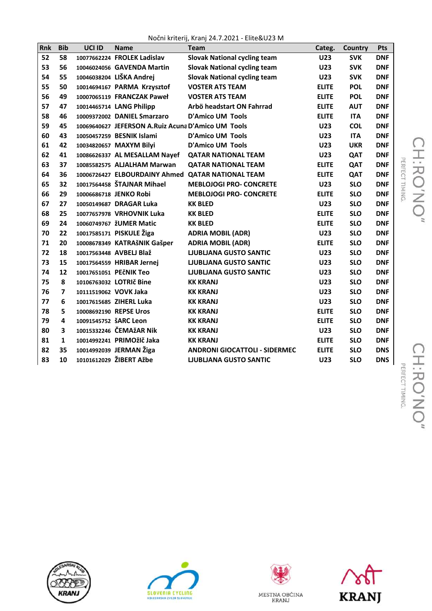Nočni kriterij, Kranj 24.7.2021 - Elite&U23 M

| <b>Rnk</b> | <b>Bib</b>     | UCI ID                | <b>Name</b>                                        | $1100$ in write $1111$ , when $111$ $2111$ $2111$ $2021$ $3111$<br><b>Team</b> | Categ.       | <b>Country</b> | Pts        |
|------------|----------------|-----------------------|----------------------------------------------------|--------------------------------------------------------------------------------|--------------|----------------|------------|
| 52         | 58             |                       | 10077662224 FROLEK Ladislav                        | <b>Slovak National cycling team</b>                                            | <b>U23</b>   | <b>SVK</b>     | <b>DNF</b> |
| 53         | 56             |                       | 10046024056 GAVENDA Martin                         | <b>Slovak National cycling team</b>                                            | <b>U23</b>   | <b>SVK</b>     | <b>DNF</b> |
| 54         | 55             |                       | 10046038204 LIŠKA Andrej                           | <b>Slovak National cycling team</b>                                            | <b>U23</b>   | <b>SVK</b>     | <b>DNF</b> |
| 55         | 50             |                       | 10014694167 PARMA Krzysztof                        | <b>VOSTER ATS TEAM</b>                                                         | <b>ELITE</b> | <b>POL</b>     | <b>DNF</b> |
| 56         | 49             |                       | 10007065119 FRANCZAK Paweł                         | <b>VOSTER ATS TEAM</b>                                                         | <b>ELITE</b> | <b>POL</b>     | <b>DNF</b> |
| 57         | 47             |                       | 10014465714 LANG Philipp                           | Arbö headstart ON Fahrrad                                                      | <b>ELITE</b> | <b>AUT</b>     | <b>DNF</b> |
| 58         | 46             |                       | 10009372002 DANIEL Smarzaro                        | <b>D'Amico UM Tools</b>                                                        | <b>ELITE</b> | <b>ITA</b>     | <b>DNF</b> |
| 59         | 45             |                       | 10069640627 JEFERSON A.Ruiz Acuna D'Amico UM Tools |                                                                                | <b>U23</b>   | <b>COL</b>     | <b>DNF</b> |
| 60         | 43             |                       | 10050457259 BESNIK Islami                          | <b>D'Amico UM Tools</b>                                                        | <b>U23</b>   | <b>ITA</b>     | <b>DNF</b> |
| 61         | 42             |                       | 10034820657 MAXYM Bilyi                            | <b>D'Amico UM Tools</b>                                                        | <b>U23</b>   | <b>UKR</b>     | <b>DNF</b> |
| 62         | 41             |                       | 10086626337 AL MESALLAM Nayef                      | <b>QATAR NATIONAL TEAM</b>                                                     | <b>U23</b>   | QAT            | <b>DNF</b> |
| 63         | 37             |                       | 10085582575 ALJALHAM Marwan                        | <b>QATAR NATIONAL TEAM</b>                                                     | <b>ELITE</b> | QAT            | <b>DNF</b> |
| 64         | 36             |                       |                                                    | 10006726427 ELBOURDAINY Ahmed QATAR NATIONAL TEAM                              | <b>ELITE</b> | QAT            | <b>DNF</b> |
| 65         | 32             |                       | 10017564458 ŠTAJNAR Mihael                         | <b>MEBLOJOGI PRO- CONCRETE</b>                                                 | <b>U23</b>   | <b>SLO</b>     | <b>DNF</b> |
| 66         | 29             |                       | 10006686718 JENKO Robi                             | <b>MEBLOJOGI PRO- CONCRETE</b>                                                 | <b>ELITE</b> | <b>SLO</b>     | <b>DNF</b> |
| 67         | 27             |                       | 10050149687 DRAGAR Luka                            | <b>KK BLED</b>                                                                 | <b>U23</b>   | <b>SLO</b>     | <b>DNF</b> |
| 68         | 25             |                       | 10077657978 VRHOVNIK Luka                          | <b>KK BLED</b>                                                                 | <b>ELITE</b> | <b>SLO</b>     | <b>DNF</b> |
| 69         | 24             |                       | 10060749767 žUMER Matic                            | <b>KK BLED</b>                                                                 | <b>ELITE</b> | <b>SLO</b>     | <b>DNF</b> |
| 70         | 22             |                       | 10017585171 PISKULE Žiga                           | <b>ADRIA MOBIL (ADR)</b>                                                       | <b>U23</b>   | <b>SLO</b>     | <b>DNF</b> |
| 71         | 20             |                       | 10008678349 KATRAŠNIK Gašper                       | <b>ADRIA MOBIL (ADR)</b>                                                       | <b>ELITE</b> | <b>SLO</b>     | <b>DNF</b> |
| 72         | 18             |                       | 10017563448 AVBELJ Blaž                            | <b>LJUBLJANA GUSTO SANTIC</b>                                                  | <b>U23</b>   | <b>SLO</b>     | <b>DNF</b> |
| 73         | 15             |                       | 10017564559 HRIBAR Jernej                          | <b>LJUBLJANA GUSTO SANTIC</b>                                                  | <b>U23</b>   | <b>SLO</b>     | <b>DNF</b> |
| 74         | 12             |                       | 10017651051 PEČNIK Teo                             | <b>LJUBLJANA GUSTO SANTIC</b>                                                  | <b>U23</b>   | <b>SLO</b>     | <b>DNF</b> |
| 75         | 8              |                       | 10106763032 LOTRIČ Bine                            | <b>KK KRANJ</b>                                                                | <b>U23</b>   | <b>SLO</b>     | <b>DNF</b> |
| 76         | $\overline{7}$ | 10111519062 VOVK Jaka |                                                    | <b>KK KRANJ</b>                                                                | <b>U23</b>   | <b>SLO</b>     | <b>DNF</b> |
| 77         | 6              |                       | 10017615685 ZIHERL Luka                            | <b>KK KRANJ</b>                                                                | <b>U23</b>   | <b>SLO</b>     | <b>DNF</b> |
| 78         | 5              |                       | 10008692190 REPSE Uros                             | <b>KK KRANJ</b>                                                                | <b>ELITE</b> | <b>SLO</b>     | <b>DNF</b> |
| 79         | 4              | 10091545752 ŠARC Leon |                                                    | <b>KK KRANJ</b>                                                                | <b>ELITE</b> | <b>SLO</b>     | <b>DNF</b> |
| 80         | 3              |                       | 10015332246 ČEMAžAR Nik                            | <b>KK KRANJ</b>                                                                | <b>U23</b>   | <b>SLO</b>     | <b>DNF</b> |
| 81         | $\mathbf{1}$   |                       | 10014992241 PRIMOžIč Jaka                          | <b>KK KRANJ</b>                                                                | <b>ELITE</b> | <b>SLO</b>     | <b>DNF</b> |
| 82         | 35             |                       | 10014992039 JERMAN Žiga                            | <b>ANDRONI GIOCATTOLI - SIDERMEC</b>                                           | <b>ELITE</b> | <b>SLO</b>     | <b>DNS</b> |
| 83         | 10             |                       | 10101612029 ŽIBERT Ažbe                            | <b>LJUBLJANA GUSTO SANTIC</b>                                                  | U23          | <b>SLO</b>     | <b>DNS</b> |







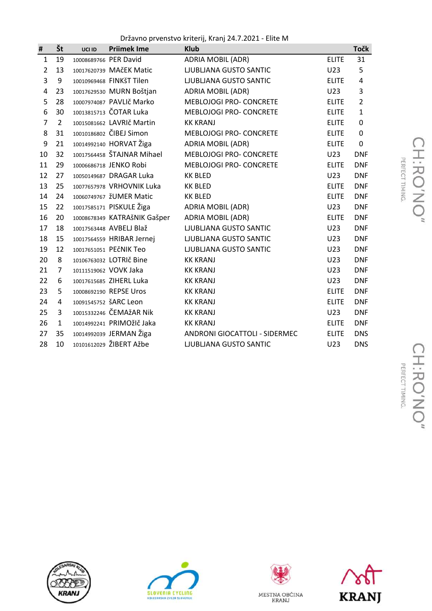Državno prvenstvo kriterij, Kranj 24.7.2021 - Elite M

| #              | Št             | UCI ID | <b>Priimek Ime</b>           | <b>Klub</b>                    |              | <b>Točk</b>    |
|----------------|----------------|--------|------------------------------|--------------------------------|--------------|----------------|
| $\mathbf{1}$   | 19             |        | 10008689766 PER David        | <b>ADRIA MOBIL (ADR)</b>       | <b>ELITE</b> | 31             |
| $\overline{2}$ | 13             |        | 10017620739 MAČEK Matic      | LJUBLJANA GUSTO SANTIC         | U23          | 5              |
| 3              | 9              |        | 10010969468 FINKŠT Tilen     | LJUBLJANA GUSTO SANTIC         | <b>ELITE</b> | 4              |
| 4              | 23             |        | 10017629530 MURN Boštjan     | <b>ADRIA MOBIL (ADR)</b>       | U23          | 3              |
| 5              | 28             |        | 10007974087 PAVLIč Marko     | <b>MEBLOJOGI PRO- CONCRETE</b> | <b>ELITE</b> | $\overline{2}$ |
| 6              | 30             |        | 10013815713 ČOTAR Luka       | MEBLOJOGI PRO- CONCRETE        | <b>ELITE</b> | $\mathbf{1}$   |
| 7              | $\overline{2}$ |        | 10015081662 LAVRIČ Martin    | <b>KK KRANJ</b>                | <b>ELITE</b> | 0              |
| 8              | 31             |        | 10010186802 CIBEJ Simon      | <b>MEBLOJOGI PRO- CONCRETE</b> | <b>ELITE</b> | 0              |
| 9              | 21             |        | 10014992140 HORVAT Žiga      | <b>ADRIA MOBIL (ADR)</b>       | <b>ELITE</b> | 0              |
| 10             | 32             |        | 10017564458 ŠTAJNAR Mihael   | <b>MEBLOJOGI PRO- CONCRETE</b> | U23          | <b>DNF</b>     |
| 11             | 29             |        | 10006686718 JENKO Robi       | <b>MEBLOJOGI PRO- CONCRETE</b> | <b>ELITE</b> | <b>DNF</b>     |
| 12             | 27             |        | 10050149687 DRAGAR Luka      | <b>KK BLED</b>                 | U23          | <b>DNF</b>     |
| 13             | 25             |        | 10077657978 VRHOVNIK Luka    | <b>KK BLED</b>                 | <b>ELITE</b> | <b>DNF</b>     |
| 14             | 24             |        | 10060749767 ŽUMER Matic      | <b>KK BLED</b>                 | <b>ELITE</b> | <b>DNF</b>     |
| 15             | 22             |        | 10017585171 PISKULE Žiga     | <b>ADRIA MOBIL (ADR)</b>       | U23          | <b>DNF</b>     |
| 16             | 20             |        | 10008678349 KATRAŠNIK Gašper | <b>ADRIA MOBIL (ADR)</b>       | <b>ELITE</b> | <b>DNF</b>     |
| 17             | 18             |        | 10017563448 AVBELJ Blaž      | <b>LJUBLJANA GUSTO SANTIC</b>  | U23          | <b>DNF</b>     |
| 18             | 15             |        | 10017564559 HRIBAR Jernej    | LJUBLJANA GUSTO SANTIC         | U23          | <b>DNF</b>     |
| 19             | 12             |        | 10017651051 PEČNIK Teo       | LJUBLJANA GUSTO SANTIC         | U23          | <b>DNF</b>     |
| 20             | 8              |        | 10106763032 LOTRIČ Bine      | <b>KK KRANJ</b>                | U23          | <b>DNF</b>     |
| 21             | $\overline{7}$ |        | 10111519062 VOVK Jaka        | <b>KK KRANJ</b>                | U23          | <b>DNF</b>     |
| 22             | 6              |        | 10017615685 ZIHERL Luka      | <b>KK KRANJ</b>                | U23          | <b>DNF</b>     |
| 23             | 5              |        | 10008692190 REPSE Uros       | <b>KK KRANJ</b>                | <b>ELITE</b> | <b>DNF</b>     |
| 24             | 4              |        | 10091545752 ŠARC Leon        | <b>KK KRANJ</b>                | <b>ELITE</b> | <b>DNF</b>     |
| 25             | 3              |        | 10015332246 ČEMAžAR Nik      | <b>KK KRANJ</b>                | U23          | <b>DNF</b>     |
| 26             | $\mathbf{1}$   |        | 10014992241 PRIMOžIč Jaka    | <b>KK KRANJ</b>                | <b>ELITE</b> | <b>DNF</b>     |
| 27             | 35             |        | 10014992039 JERMAN Žiga      | ANDRONI GIOCATTOLI - SIDERMEC  | <b>ELITE</b> | <b>DNS</b>     |
| 28             | 10             |        | 10101612029 ŽIBERT Ažbe      | <b>LJUBLJANA GUSTO SANTIC</b>  | U23          | <b>DNS</b>     |







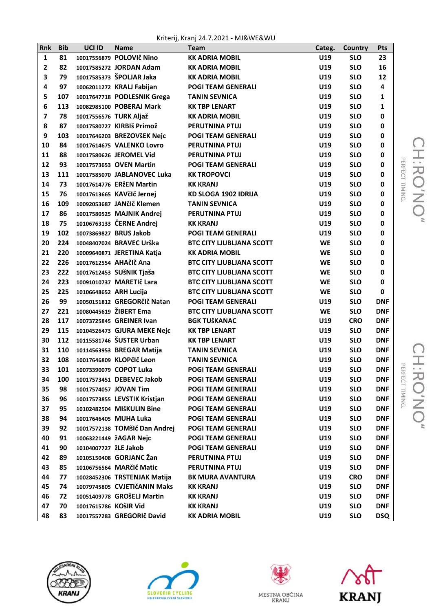Kriterij, Kranj 24.7.2021 - MJ&WE&WU

| Rnk            | <b>Bib</b> | UCI ID                 | <b>Name</b>                   | <b>Team</b>                     | Categ.    | Country    | Pts          |
|----------------|------------|------------------------|-------------------------------|---------------------------------|-----------|------------|--------------|
| $\mathbf{1}$   | 81         |                        | 10017556879 POLOVIč Nino      | <b>KK ADRIA MOBIL</b>           | U19       | <b>SLO</b> | 23           |
| 2              | 82         |                        | 10017585272 JORDAN Adam       | <b>KK ADRIA MOBIL</b>           | U19       | <b>SLO</b> | 16           |
| 3              | 79         |                        | 10017585373 ŠPOLJAR Jaka      | <b>KK ADRIA MOBIL</b>           | U19       | <b>SLO</b> | 12           |
| 4              | 97         |                        | 10062011272 KRALJ Fabijan     | <b>POGI TEAM GENERALI</b>       | U19       | <b>SLO</b> | 4            |
| 5              | 107        |                        | 10017647718 PODLESNIK Grega   | <b>TANIN SEVNICA</b>            | U19       | <b>SLO</b> | $\mathbf{1}$ |
| 6              | 113        |                        | 10082985100 POBERAJ Mark      | <b>KK TBP LENART</b>            | U19       | <b>SLO</b> | $\mathbf{1}$ |
| $\overline{ }$ | 78         |                        | 10017556576 TURK Aljaž        | <b>KK ADRIA MOBIL</b>           | U19       | <b>SLO</b> | 0            |
| 8              | 87         |                        | 10017580727 KIRBIŠ Primož     | <b>PERUTNINA PTUJ</b>           | U19       | <b>SLO</b> | 0            |
| 9              | 103        |                        | 10017646203 BREZOVŠEK Nejc    | <b>POGI TEAM GENERALI</b>       | U19       | <b>SLO</b> | 0            |
| 10             | 84         |                        | 10017614675 VALENKO Lovro     | PERUTNINA PTUJ                  | U19       | <b>SLO</b> | 0            |
| 11             | 88         |                        | 10017580626 JEROMEL Vid       | <b>PERUTNINA PTUJ</b>           | U19       | <b>SLO</b> | 0            |
| 12             | 93         |                        | 10017573653 OVEN Martin       | <b>POGI TEAM GENERALI</b>       | U19       | <b>SLO</b> | 0            |
| 13             | 111        |                        | 10017585070 JABLANOVEC Luka   | <b>KK TROPOVCI</b>              | U19       | <b>SLO</b> | 0            |
| 14             | 73         |                        | 10017614776 ERŽEN Martin      | <b>KK KRANJ</b>                 | U19       | <b>SLO</b> | 0            |
| 15             | 76         |                        | 10017613665 KAVčIč Jernej     | <b>KD SLOGA 1902 IDRIJA</b>     | U19       | <b>SLO</b> | 0            |
| 16             | 109        |                        | 10092053687 JANčIč Klemen     | <b>TANIN SEVNICA</b>            | U19       | <b>SLO</b> | 0            |
| 17             | 86         |                        | 10017580525 MAJNIK Andrej     | PERUTNINA PTUJ                  | U19       | <b>SLO</b> | 0            |
| 18             | 75         |                        | 10106763133 ČERNE Andrej      | <b>KK KRANJ</b>                 | U19       | <b>SLO</b> | 0            |
| 19             | 102        |                        | 10073869827 BRUS Jakob        | <b>POGI TEAM GENERALI</b>       | U19       | <b>SLO</b> | 0            |
| 20             | 224        |                        | 10048407024 BRAVEC Urška      | <b>BTC CITY LJUBLIANA SCOTT</b> | <b>WE</b> | <b>SLO</b> | 0            |
| 21             | 220        |                        | 10009640871 JERETINA Katja    | <b>KK ADRIA MOBIL</b>           | <b>WE</b> | <b>SLO</b> | 0            |
| 22             | 226        |                        | 10017612554 AHAčlč Ana        | <b>BTC CITY LJUBLIANA SCOTT</b> | <b>WE</b> | <b>SLO</b> | 0            |
| 23             | 222        |                        | 10017612453 SUŠNIK Tjaša      | <b>BTC CITY LJUBLIANA SCOTT</b> | <b>WE</b> | <b>SLO</b> | 0            |
| 24             | 223        |                        | 10091010737 MARETIč Lara      | <b>BTC CITY LJUBLIANA SCOTT</b> | <b>WE</b> | <b>SLO</b> | 0            |
| 25             | 225        | 10106648652 ARH Lucija |                               | <b>BTC CITY LJUBLIANA SCOTT</b> | <b>WE</b> | <b>SLO</b> | 0            |
| 26             | 99         |                        | 10050151812 GREGORčič Natan   | <b>POGI TEAM GENERALI</b>       | U19       | <b>SLO</b> | <b>DNF</b>   |
| 27             | 221        |                        | 10080445619 ŽIBERT Ema        | <b>BTC CITY LJUBLIANA SCOTT</b> | <b>WE</b> | <b>SLO</b> | <b>DNF</b>   |
| 28             | 117        |                        | 10073725845 GREINER Ivan      | <b>BGK TUŠKANAC</b>             | U19       | <b>CRO</b> | <b>DNF</b>   |
| 29             | 115        |                        | 10104526473 GJURA MEKE Nejc   | <b>KK TBP LENART</b>            | U19       | <b>SLO</b> | <b>DNF</b>   |
| 30             | 112        |                        | 10115581746 ŠUSTER Urban      | <b>KK TBP LENART</b>            | U19       | <b>SLO</b> | <b>DNF</b>   |
| 31             | 110        |                        | 10114563953 BREGAR Matija     | <b>TANIN SEVNICA</b>            | U19       | <b>SLO</b> | <b>DNF</b>   |
| 32             | 108        |                        | 10017646809 KLOPčIč Leon      | <b>TANIN SEVNICA</b>            | U19       | <b>SLO</b> | <b>DNF</b>   |
| 33             | 101        |                        | 10073390079 COPOT Luka        | <b>POGI TEAM GENERALI</b>       | U19       | <b>SLO</b> | <b>DNF</b>   |
| 34             | 100        |                        | 10017573451 DEBEVEC Jakob     | <b>POGI TEAM GENERALI</b>       | U19       | <b>SLO</b> | <b>DNF</b>   |
| 35             | 98         |                        | 10017574057 JOVAN Tim         | <b>POGI TEAM GENERALI</b>       | U19       | <b>SLO</b> | <b>DNF</b>   |
| 36             | 96         |                        | 10017573855 LEVSTIK Kristjan  | <b>POGI TEAM GENERALI</b>       | U19       | <b>SLO</b> | <b>DNF</b>   |
| 37             | 95         |                        | 10102482504 MIŠKULIN Bine     | <b>POGI TEAM GENERALI</b>       | U19       | <b>SLO</b> | <b>DNF</b>   |
| 38             | 94         |                        | 10017646405 MUHA Luka         | <b>POGI TEAM GENERALI</b>       | U19       | <b>SLO</b> | <b>DNF</b>   |
| 39             | 92         |                        | 10017572138 TOMšIč Dan Andrej | <b>POGI TEAM GENERALI</b>       | U19       | <b>SLO</b> | <b>DNF</b>   |
| 40             | 91         |                        | 10063221449 ŽAGAR Nejc        | <b>POGI TEAM GENERALI</b>       | U19       | <b>SLO</b> | <b>DNF</b>   |
| 41             | 90         | 10104007727 žLE Jakob  |                               | <b>POGI TEAM GENERALI</b>       | U19       | <b>SLO</b> | <b>DNF</b>   |
| 42             | 89         |                        | 10105150408 GORJANC Žan       | PERUTNINA PTUJ                  | U19       | <b>SLO</b> | <b>DNF</b>   |
| 43             | 85         |                        | 10106756564 MARčIč Matic      | PERUTNINA PTUJ                  | U19       | <b>SLO</b> | <b>DNF</b>   |
| 44             | 77         |                        | 10028452306 TRSTENJAK Matija  | <b>BK MURA AVANTURA</b>         | U19       | <b>CRO</b> | <b>DNF</b>   |
| 45             | 74         |                        | 10079745805 CVJETIčANIN Maks  | <b>KK KRANJ</b>                 | U19       | <b>SLO</b> | <b>DNF</b>   |
| 46             | 72         |                        | 10051409778 GROŠELJ Martin    | <b>KK KRANJ</b>                 | U19       | <b>SLO</b> | <b>DNF</b>   |
| 47             | 70         | 10017615786 KOŠIR Vid  |                               | <b>KK KRANJ</b>                 | U19       | <b>SLO</b> | <b>DNF</b>   |
| 48             | 83         |                        | 10017557283 GREGORIč David    | <b>KK ADRIA MOBIL</b>           | U19       | <b>SLO</b> | <b>DSQ</b>   |









CH:RO'NO"<br>CH:RO'NO"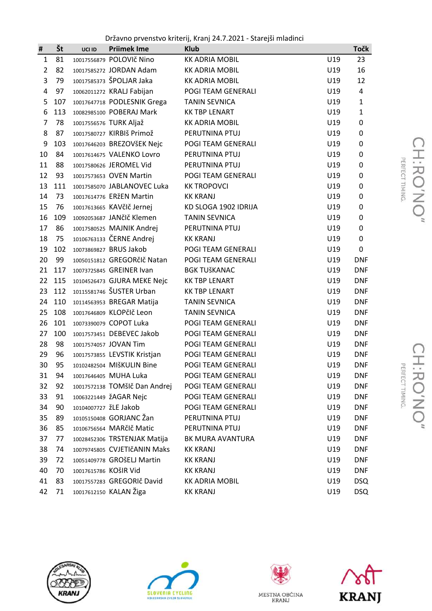Državno prvenstvo kriterij, Kranj 24.7.2021 - Starejši mladinci

| #              | Št  | UCI ID                | <b>Priimek Ime</b>            | <b>Klub</b>           |     | <b>Točk</b>    |
|----------------|-----|-----------------------|-------------------------------|-----------------------|-----|----------------|
| $\mathbf{1}$   | 81  |                       | 10017556879 POLOVIč Nino      | <b>KK ADRIA MOBIL</b> | U19 | 23             |
| $\overline{2}$ | 82  |                       | 10017585272 JORDAN Adam       | <b>KK ADRIA MOBIL</b> | U19 | 16             |
| 3              | 79  |                       | 10017585373 ŠPOLJAR Jaka      | <b>KK ADRIA MOBIL</b> | U19 | 12             |
| $\overline{4}$ | 97  |                       | 10062011272 KRALJ Fabijan     | POGI TEAM GENERALI    | U19 | $\overline{4}$ |
| 5              | 107 |                       | 10017647718 PODLESNIK Grega   | <b>TANIN SEVNICA</b>  | U19 | $\mathbf{1}$   |
| 6              | 113 |                       | 10082985100 POBERAJ Mark      | <b>KK TBP LENART</b>  | U19 | $\mathbf{1}$   |
| $\overline{7}$ | 78  |                       | 10017556576 TURK Aljaž        | <b>KK ADRIA MOBIL</b> | U19 | 0              |
| 8              | 87  |                       | 10017580727 KIRBIŠ Primož     | PERUTNINA PTUJ        | U19 | 0              |
| 9              | 103 |                       | 10017646203 BREZOVŠEK Nejc    | POGI TEAM GENERALI    | U19 | 0              |
| 10             | 84  |                       | 10017614675 VALENKO Lovro     | PERUTNINA PTUJ        | U19 | 0              |
| 11             | 88  |                       | 10017580626 JEROMEL Vid       | PERUTNINA PTUJ        | U19 | 0              |
| 12             | 93  |                       | 10017573653 OVEN Martin       | POGI TEAM GENERALI    | U19 | 0              |
| 13             | 111 |                       | 10017585070 JABLANOVEC Luka   | <b>KK TROPOVCI</b>    | U19 | 0              |
| 14             | 73  |                       | 10017614776 ERŽEN Martin      | <b>KK KRANJ</b>       | U19 | 0              |
| 15             | 76  |                       | 10017613665 KAVčIč Jernej     | KD SLOGA 1902 IDRIJA  | U19 | 0              |
| 16             | 109 |                       | 10092053687 JANčIč Klemen     | <b>TANIN SEVNICA</b>  | U19 | $\pmb{0}$      |
| 17             | 86  |                       | 10017580525 MAJNIK Andrej     | PERUTNINA PTUJ        | U19 | 0              |
| 18             | 75  |                       | 10106763133 ČERNE Andrej      | <b>KK KRANJ</b>       | U19 | 0              |
| 19             | 102 |                       | 10073869827 BRUS Jakob        | POGI TEAM GENERALI    | U19 | 0              |
| 20             | 99  |                       | 10050151812 GREGORčIč Natan   | POGI TEAM GENERALI    | U19 | <b>DNF</b>     |
| 21             | 117 |                       | 10073725845 GREINER Ivan      | <b>BGK TUŠKANAC</b>   | U19 | <b>DNF</b>     |
| 22             | 115 |                       | 10104526473 GJURA MEKE Nejc   | <b>KK TBP LENART</b>  | U19 | <b>DNF</b>     |
| 23             | 112 |                       | 10115581746 ŠUSTER Urban      | <b>KK TBP LENART</b>  | U19 | <b>DNF</b>     |
| 24             | 110 |                       | 10114563953 BREGAR Matija     | <b>TANIN SEVNICA</b>  | U19 | <b>DNF</b>     |
| 25             | 108 |                       | 10017646809 KLOPčIč Leon      | <b>TANIN SEVNICA</b>  | U19 | <b>DNF</b>     |
| 26             | 101 |                       | 10073390079 COPOT Luka        | POGI TEAM GENERALI    | U19 | <b>DNF</b>     |
| 27             | 100 |                       | 10017573451 DEBEVEC Jakob     | POGI TEAM GENERALI    | U19 | <b>DNF</b>     |
| 28             | 98  |                       | 10017574057 JOVAN Tim         | POGI TEAM GENERALI    | U19 | <b>DNF</b>     |
| 29             | 96  |                       | 10017573855 LEVSTIK Kristjan  | POGI TEAM GENERALI    | U19 | <b>DNF</b>     |
| 30             | 95  |                       | 10102482504 MIŠKULIN Bine     | POGI TEAM GENERALI    | U19 | <b>DNF</b>     |
| 31             | 94  |                       | 10017646405 MUHA Luka         | POGI TEAM GENERALI    | U19 | <b>DNF</b>     |
| 32             | 92  |                       | 10017572138 TOMšlč Dan Andrej | POGI TEAM GENERALI    | U19 | <b>DNF</b>     |
| 33             | 91  |                       | 10063221449 ŽAGAR Nejc        | POGI TEAM GENERALI    | U19 | <b>DNF</b>     |
| 34             | 90  | 10104007727 ŽLE Jakob |                               | POGI TEAM GENERALI    | U19 | <b>DNF</b>     |
| 35             | 89  |                       | 10105150408 GORJANC Žan       | PERUTNINA PTUJ        | U19 | <b>DNF</b>     |
| 36             | 85  |                       | 10106756564 MARčIč Matic      | PERUTNINA PTUJ        | U19 | <b>DNF</b>     |
| 37             | 77  |                       | 10028452306 TRSTENJAK Matija  | BK MURA AVANTURA      | U19 | <b>DNF</b>     |
| 38             | 74  |                       | 10079745805 CVJETIčANIN Maks  | <b>KK KRANJ</b>       | U19 | <b>DNF</b>     |
| 39             | 72  |                       | 10051409778 GROŠELJ Martin    | <b>KK KRANJ</b>       | U19 | <b>DNF</b>     |
| 40             | 70  | 10017615786 KOŠIR Vid |                               | <b>KK KRANJ</b>       | U19 | <b>DNF</b>     |
| 41             | 83  |                       | 10017557283 GREGORIč David    | <b>KK ADRIA MOBIL</b> | U19 | <b>DSQ</b>     |
| 42             | 71  |                       | 10017612150 KALAN Žiga        | <b>KK KRANJ</b>       | U19 | <b>DSQ</b>     |





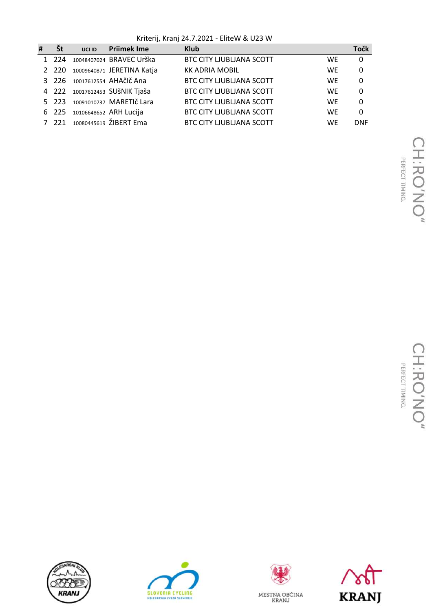Kriterij, Kranj 24.7.2021 - EliteW & U23 W

| # | <b>St</b> | UCI ID | <b>Prijmek Ime</b>             | <b>Klub</b>                     |           | Točk         |
|---|-----------|--------|--------------------------------|---------------------------------|-----------|--------------|
|   | 1 224     |        | 10048407024 BRAVEC Urška       | <b>BTC CITY LJUBLIANA SCOTT</b> | WE        | $\mathbf{0}$ |
|   | 2 2 2 0   |        | 10009640871 JERETINA Katja     | <b>KK ADRIA MOBIL</b>           | WF        | 0            |
|   |           |        | 3 226 10017612554 AHAčlč Ana   | <b>BTC CITY LJUBLIANA SCOTT</b> | <b>WE</b> | 0            |
|   |           |        | 4 222 10017612453 SUŠNIK Tjaša | <b>BTC CITY LJUBLIANA SCOTT</b> | WE        | 0            |
|   |           |        | 5 223 10091010737 MARETIČ Lara | <b>BTC CITY LJUBLIANA SCOTT</b> | WE        | 0            |
|   |           |        | 6 225 10106648652 ARH Lucija   | <b>BTC CITY LJUBLIANA SCOTT</b> | WF        | 0            |
|   | 7 221     |        | 10080445619 ŽIBERT Ema         | <b>BTC CITY LJUBLIANA SCOTT</b> | WF        | <b>DNF</b>   |







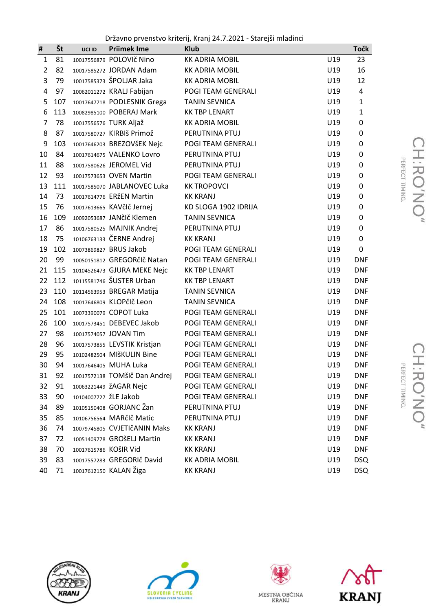Državno prvenstvo kriterij, Kranj 24.7.2021 - Starejši mladinci

| #              | Št  | UCI ID                | <b>Priimek Ime</b>            | <b>Klub</b>           |     | <b>Točk</b>    |
|----------------|-----|-----------------------|-------------------------------|-----------------------|-----|----------------|
| $\mathbf{1}$   | 81  |                       | 10017556879 POLOVIč Nino      | <b>KK ADRIA MOBIL</b> | U19 | 23             |
| $\overline{2}$ | 82  |                       | 10017585272 JORDAN Adam       | <b>KK ADRIA MOBIL</b> | U19 | 16             |
| 3              | 79  |                       | 10017585373 ŠPOLJAR Jaka      | <b>KK ADRIA MOBIL</b> | U19 | 12             |
| 4              | 97  |                       | 10062011272 KRALJ Fabijan     | POGI TEAM GENERALI    | U19 | $\overline{4}$ |
| 5              | 107 |                       | 10017647718 PODLESNIK Grega   | <b>TANIN SEVNICA</b>  | U19 | $\mathbf{1}$   |
| 6              | 113 |                       | 10082985100 POBERAJ Mark      | <b>KK TBP LENART</b>  | U19 | $\mathbf{1}$   |
| $\overline{7}$ | 78  |                       | 10017556576 TURK Aljaž        | <b>KK ADRIA MOBIL</b> | U19 | 0              |
| 8              | 87  |                       | 10017580727 KIRBIŠ Primož     | PERUTNINA PTUJ        | U19 | 0              |
| 9              | 103 |                       | 10017646203 BREZOVŠEK Nejc    | POGI TEAM GENERALI    | U19 | 0              |
| 10             | 84  |                       | 10017614675 VALENKO Lovro     | PERUTNINA PTUJ        | U19 | 0              |
| 11             | 88  |                       | 10017580626 JEROMEL Vid       | PERUTNINA PTUJ        | U19 | 0              |
| 12             | 93  |                       | 10017573653 OVEN Martin       | POGI TEAM GENERALI    | U19 | 0              |
| 13             | 111 |                       | 10017585070 JABLANOVEC Luka   | <b>KK TROPOVCI</b>    | U19 | 0              |
| 14             | 73  |                       | 10017614776 ERŽEN Martin      | <b>KK KRANJ</b>       | U19 | 0              |
| 15             | 76  |                       | 10017613665 KAVčIč Jernej     | KD SLOGA 1902 IDRIJA  | U19 | 0              |
| 16             | 109 |                       | 10092053687 JANčIč Klemen     | <b>TANIN SEVNICA</b>  | U19 | 0              |
| 17             | 86  |                       | 10017580525 MAJNIK Andrej     | PERUTNINA PTUJ        | U19 | 0              |
| 18             | 75  |                       | 10106763133 ČERNE Andrej      | <b>KK KRANJ</b>       | U19 | 0              |
| 19             | 102 |                       | 10073869827 BRUS Jakob        | POGI TEAM GENERALI    | U19 | 0              |
| 20             | 99  |                       | 10050151812 GREGORčIč Natan   | POGI TEAM GENERALI    | U19 | <b>DNF</b>     |
| 21             | 115 |                       | 10104526473 GJURA MEKE Nejc   | <b>KK TBP LENART</b>  | U19 | <b>DNF</b>     |
| 22             | 112 |                       | 10115581746 ŠUSTER Urban      | <b>KK TBP LENART</b>  | U19 | <b>DNF</b>     |
| 23             | 110 |                       | 10114563953 BREGAR Matija     | <b>TANIN SEVNICA</b>  | U19 | <b>DNF</b>     |
| 24             | 108 |                       | 10017646809 KLOPčIč Leon      | <b>TANIN SEVNICA</b>  | U19 | <b>DNF</b>     |
| 25             | 101 |                       | 10073390079 COPOT Luka        | POGI TEAM GENERALI    | U19 | <b>DNF</b>     |
| 26             | 100 |                       | 10017573451 DEBEVEC Jakob     | POGI TEAM GENERALI    | U19 | <b>DNF</b>     |
| 27             | 98  |                       | 10017574057 JOVAN Tim         | POGI TEAM GENERALI    | U19 | <b>DNF</b>     |
| 28             | 96  |                       | 10017573855 LEVSTIK Kristjan  | POGI TEAM GENERALI    | U19 | <b>DNF</b>     |
| 29             | 95  |                       | 10102482504 MIŠKULIN Bine     | POGI TEAM GENERALI    | U19 | <b>DNF</b>     |
| 30             | 94  |                       | 10017646405 MUHA Luka         | POGI TEAM GENERALI    | U19 | <b>DNF</b>     |
| 31             | 92  |                       | 10017572138 TOMŠIČ Dan Andrej | POGI TEAM GENERALI    | U19 | <b>DNF</b>     |
| 32             | 91  |                       | 10063221449 ŽAGAR Nejc        | POGI TEAM GENERALI    | U19 | <b>DNF</b>     |
| 33             | 90  | 10104007727 ŽLE Jakob |                               | POGI TEAM GENERALI    | U19 | <b>DNF</b>     |
| 34             | 89  |                       | 10105150408 GORJANC Žan       | PERUTNINA PTUJ        | U19 | <b>DNF</b>     |
| 35             | 85  |                       | 10106756564 MARčIč Matic      | PERUTNINA PTUJ        | U19 | <b>DNF</b>     |
| 36             | 74  |                       | 10079745805 CVJETIčANIN Maks  | <b>KK KRANJ</b>       | U19 | <b>DNF</b>     |
| 37             | 72  |                       | 10051409778 GROŠELJ Martin    | <b>KK KRANJ</b>       | U19 | <b>DNF</b>     |
| 38             | 70  | 10017615786 KOŠIR Vid |                               | <b>KK KRANJ</b>       | U19 | <b>DNF</b>     |
| 39             | 83  |                       | 10017557283 GREGORIč David    | <b>KK ADRIA MOBIL</b> | U19 | <b>DSQ</b>     |
| 40             | 71  |                       | 10017612150 KALAN Žiga        | <b>KK KRANJ</b>       | U19 | <b>DSQ</b>     |







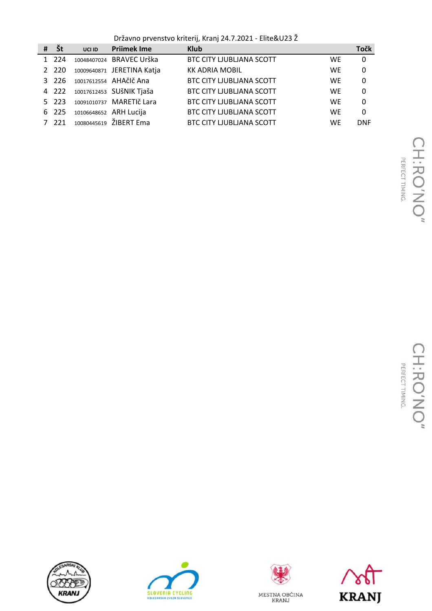Državno prvenstvo kriterij, Kranj 24.7.2021 - Elite&U23 Ž

| # | Št           | UCI ID | <b>Priimek Ime</b>         | <b>Klub</b>                     |           | <b>Točk</b> |
|---|--------------|--------|----------------------------|---------------------------------|-----------|-------------|
|   | 1 224        |        | 10048407024 BRAVEC Urška   | <b>BTC CITY LJUBLJANA SCOTT</b> | WE        | $\mathbf 0$ |
|   | 2 2 2 0      |        | 10009640871 JERETINA Katja | <b>KK ADRIA MOBIL</b>           | <b>WE</b> | 0           |
|   | 3, 226       |        | 10017612554 AHAčlč Ana     | <b>BTC CITY LJUBLIANA SCOTT</b> | <b>WF</b> | 0           |
|   | 4 222        |        | 10017612453 SUŠNIK Tjaša   | <b>BTC CITY LJUBLJANA SCOTT</b> | <b>WE</b> | 0           |
|   | $5\quad 223$ |        | 10091010737 MARETIČ Lara   | <b>BTC CITY LJUBLIANA SCOTT</b> | WE        | 0           |
|   | 6 225        |        | 10106648652 ARH Lucija     | <b>BTC CITY LJUBLIANA SCOTT</b> | <b>WF</b> | 0           |
|   | 7 221        |        | 10080445619 ŽIBERT Ema     | <b>BTC CITY LJUBLJANA SCOTT</b> | <b>WF</b> | <b>DNF</b>  |







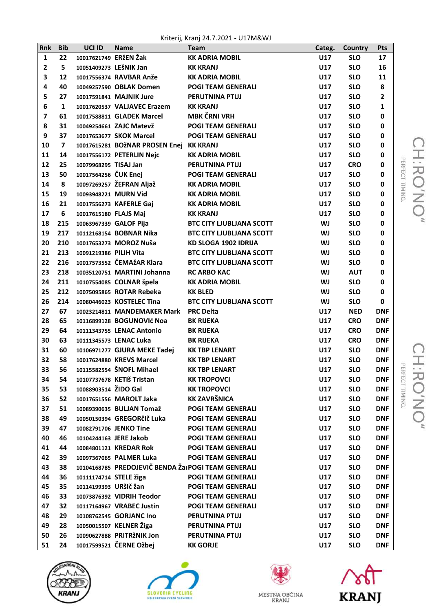Kriterij, Kranj 24.7.2021 - U17M&WJ

| Rnk          | <b>Bib</b>              | UCI ID                 | <b>Name</b>                                         | <b>Team</b>                     | Categ.     | Country    | Pts                     |
|--------------|-------------------------|------------------------|-----------------------------------------------------|---------------------------------|------------|------------|-------------------------|
| $\mathbf{1}$ | 22                      | 10017621749 ERžEN Žak  |                                                     | <b>KK ADRIA MOBIL</b>           | U17        | <b>SLO</b> | 17                      |
| 2            | 5                       | 10051409273 LEŠNIK Jan |                                                     | <b>KK KRANJ</b>                 | U17        | <b>SLO</b> | 16                      |
| 3            | 12                      |                        | 10017556374 RAVBAR Anže                             | <b>KK ADRIA MOBIL</b>           | U17        | <b>SLO</b> | 11                      |
| 4            | 40                      |                        | 10049257590 OBLAK Domen                             | <b>POGI TEAM GENERALI</b>       | <b>U17</b> | <b>SLO</b> | 8                       |
| 5            | 27                      |                        | 10017591841 MAJNIK Jure                             | <b>PERUTNINA PTUJ</b>           | <b>U17</b> | <b>SLO</b> | $\overline{\mathbf{2}}$ |
| 6            | $\mathbf{1}$            |                        | 10017620537 VALJAVEC Erazem                         | <b>KK KRANJ</b>                 | U17        | <b>SLO</b> | 1                       |
| 7            | 61                      |                        | 10017588811 GLADEK Marcel                           | <b>MBK ČRNI VRH</b>             | U17        | <b>SLO</b> | 0                       |
| 8            | 31                      |                        | 10049254661 ZAJC Matevž                             | <b>POGI TEAM GENERALI</b>       | U17        | <b>SLO</b> | 0                       |
| 9            | 37                      |                        | 10017653677 SKOK Marcel                             | <b>POGI TEAM GENERALI</b>       | <b>U17</b> | <b>SLO</b> | 0                       |
| 10           | $\overline{\mathbf{z}}$ |                        | 10017615281 BOŽNAR PROSEN Enej KK KRANJ             |                                 | U17        | <b>SLO</b> | 0                       |
| 11           | 14                      |                        | 10017556172 PETERLIN Nejc                           | <b>KK ADRIA MOBIL</b>           | <b>U17</b> | <b>SLO</b> | 0                       |
| 12           | 25                      | 10079968295 TISAJ Jan  |                                                     | PERUTNINA PTUJ                  | <b>U17</b> | <b>CRO</b> | 0                       |
| 13           | 50                      | 10017564256 ČUK Enej   |                                                     | <b>POGI TEAM GENERALI</b>       | <b>U17</b> | <b>SLO</b> | 0                       |
| 14           | 8                       |                        | 10097269257 ŽEFRAN Aljaž                            | <b>KK ADRIA MOBIL</b>           | U17        | <b>SLO</b> | 0                       |
| 15           | 19                      | 10093948221 MURN Vid   |                                                     | <b>KK ADRIA MOBIL</b>           | U17        | <b>SLO</b> | 0                       |
| 16           | 21                      |                        | 10017556273 KAFERLE Gaj                             | <b>KK ADRIA MOBIL</b>           | U17        | <b>SLO</b> | 0                       |
| 17           | 6                       | 10017615180 FLAJS Maj  |                                                     | <b>KK KRANJ</b>                 | U17        | <b>SLO</b> | 0                       |
| 18           | 215                     |                        | 10063967339 GALOF Pija                              | <b>BTC CITY LJUBLIANA SCOTT</b> | WJ         | <b>SLO</b> | 0                       |
| 19           | 217                     |                        | 10112168154 BOBNAR Nika                             | <b>BTC CITY LJUBLIANA SCOTT</b> | <b>WJ</b>  | <b>SLO</b> | 0                       |
| 20           | 210                     |                        | 10017653273 MOROZ Nuša                              | KD SLOGA 1902 IDRIJA            | WJ         | <b>SLO</b> | 0                       |
| 21           | 213                     | 10091219386 PILIH Vita |                                                     | <b>BTC CITY LJUBLIANA SCOTT</b> | <b>WJ</b>  | <b>SLO</b> | 0                       |
| 22           | 216                     |                        | 10017573552 ČEMAžAR Klara                           | <b>BTC CITY LJUBLJANA SCOTT</b> | WJ         | <b>SLO</b> | 0                       |
| 23           | 218                     |                        | 10035120751 MARTINI Johanna                         | <b>RC ARBO KAC</b>              | WJ         | <b>AUT</b> | 0                       |
| 24           | 211                     |                        | 10107554085 COLNAR špela                            | <b>KK ADRIA MOBIL</b>           | WJ         | <b>SLO</b> | 0                       |
| 25           | 212                     |                        | 10075095865 ROTAR Rebeka                            | <b>KK BLED</b>                  | <b>WJ</b>  | <b>SLO</b> | 0                       |
| 26           | 214                     |                        | 10080446023 KOSTELEC Tina                           | <b>BTC CITY LJUBLJANA SCOTT</b> | <b>WJ</b>  | <b>SLO</b> | 0                       |
| 27           | 67                      |                        | 10023214811 MANDEMAKER Mark                         | <b>PRC Delta</b>                | U17        | <b>NED</b> | <b>DNF</b>              |
| 28           | 65                      |                        | 10116899128 BOGUNOVIć Noa                           | <b>BK RIJEKA</b>                | U17        | <b>CRO</b> | <b>DNF</b>              |
| 29           | 64                      |                        | 10111343755 LENAC Antonio                           | <b>BK RIJEKA</b>                | U17        | <b>CRO</b> | <b>DNF</b>              |
| 30           | 63                      |                        | 10111345573 LENAC Luka                              | <b>BK RIJEKA</b>                | U17        | <b>CRO</b> | <b>DNF</b>              |
| 31           | 60                      |                        | 10106971277 GJURA MEKE Tadej                        | <b>KK TBP LENART</b>            | <b>U17</b> | <b>SLO</b> | <b>DNF</b>              |
| 32           | 58                      |                        | 10017624880 KREVS Marcel                            | <b>KK TBP LENART</b>            | U17        | <b>SLO</b> | <b>DNF</b>              |
| 33           | 56                      |                        | 10115582554 ŠNOFL Mihael                            | <b>KK TBP LENART</b>            | U17        | <b>SLO</b> | <b>DNF</b>              |
| 34           | 54                      |                        | 10107737678 KETIŠ Tristan                           | <b>KK TROPOVCI</b>              | U17        | <b>SLO</b> | <b>DNF</b>              |
| 35           | 53                      | 10088903514 ŽIDO Gal   |                                                     | <b>KK TROPOVCI</b>              | U17        | <b>SLO</b> | <b>DNF</b>              |
| 36           | 52                      |                        | 10017651556 MAROLT Jaka                             | <b>KK ZAVRŠNICA</b>             | U17        | <b>SLO</b> | <b>DNF</b>              |
| 37           | 51                      |                        | 10089390635 BULJAN Tomaž                            | <b>POGI TEAM GENERALI</b>       | U17        | <b>SLO</b> | <b>DNF</b>              |
| 38           | 49                      |                        | 10050150394 GREGORčIč Luka                          | <b>POGI TEAM GENERALI</b>       | U17        | <b>SLO</b> | <b>DNF</b>              |
| 39           | 47                      |                        | 10082791706 JENKO Tine                              | <b>POGI TEAM GENERALI</b>       | U17        | <b>SLO</b> | <b>DNF</b>              |
| 40           | 46                      |                        | 10104244163 JERE Jakob                              | <b>POGI TEAM GENERALI</b>       | U17        | <b>SLO</b> | <b>DNF</b>              |
| 41           | 44                      |                        | 10084801121 KREDAR Rok                              | <b>POGI TEAM GENERALI</b>       | U17        | <b>SLO</b> | <b>DNF</b>              |
| 42           | 39                      |                        | 10097367065 PALMER Luka                             | <b>POGI TEAM GENERALI</b>       | U17        | <b>SLO</b> | <b>DNF</b>              |
| 43           | 38                      |                        | 10104168785 PREDOJEVIČ BENDA Žai POGI TEAM GENERALI |                                 | U17        | <b>SLO</b> | <b>DNF</b>              |
| 44           | 36                      | 10111174714 STELE žiga |                                                     | <b>POGI TEAM GENERALI</b>       | U17        | <b>SLO</b> | <b>DNF</b>              |
| 45           | 35                      | 10114199393 URšIč žan  |                                                     | <b>POGI TEAM GENERALI</b>       | U17        | <b>SLO</b> | <b>DNF</b>              |
| 46           | 33                      |                        | 10073876392 VIDRIH Teodor                           | <b>POGI TEAM GENERALI</b>       | U17        | <b>SLO</b> | <b>DNF</b>              |
| 47           | 32                      |                        | 10117164967 VRABEC Justin                           | <b>POGI TEAM GENERALI</b>       | U17        | <b>SLO</b> | <b>DNF</b>              |
| 48           | 29                      |                        | 10108762545 GORJANC Ino                             | PERUTNINA PTUJ                  | U17        | <b>SLO</b> | <b>DNF</b>              |
| 49           | 28                      |                        | 10050015507 KELNER Žiga                             | PERUTNINA PTUJ                  | U17        | <b>SLO</b> | <b>DNF</b>              |
| 50           | 26                      |                        | 10090627888 PRITRŽNIK Jon                           | PERUTNINA PTUJ                  | U17        | <b>SLO</b> | <b>DNF</b>              |
| 51           | 24                      |                        | 10017599521 ČERNE Ožbej                             | <b>KK GORJE</b>                 | U17        | <b>SLO</b> | <b>DNF</b>              |







MESTNA OBČINA<br>KRANJ

**ANT** 

CH:RO'NO"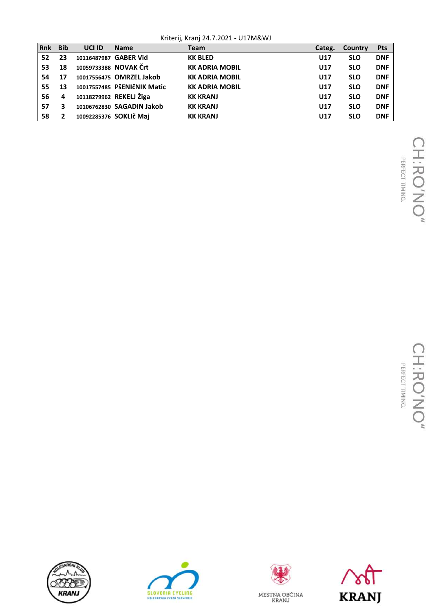Kriterij, Kranj 24.7.2021 - U17M&WJ

| l Rnk | <b>Bib</b> | UCI ID                | <b>Name</b>                 | <b>Team</b>           | Categ. | Country    | <b>Pts</b> |
|-------|------------|-----------------------|-----------------------------|-----------------------|--------|------------|------------|
| 52    | 23         | 10116487987 GABER Vid |                             | <b>KK BLED</b>        | U17    | <b>SLO</b> | <b>DNF</b> |
| 53    | 18         |                       | 10059733388 NOVAK Črt       | <b>KK ADRIA MOBIL</b> | U17    | <b>SLO</b> | <b>DNF</b> |
| 54    | 17         |                       | 10017556475 OMRZEL Jakob    | <b>KK ADRIA MOBIL</b> | U17    | <b>SLO</b> | <b>DNF</b> |
| 55    | 13         |                       | 10017557485 PŠENIČNIK Matic | <b>KK ADRIA MOBIL</b> | U17    | <b>SLO</b> | <b>DNF</b> |
| 56    | 4          |                       | 10118279962 REKELJ Žiga     | <b>KK KRANJ</b>       | U17    | <b>SLO</b> | <b>DNF</b> |
| 57    | 3          |                       | 10106762830 SAGADIN Jakob   | <b>KK KRANJ</b>       | U17    | <b>SLO</b> | <b>DNF</b> |
| 58    |            |                       | 10092285376 SOKLIč Maj      | <b>KK KRANJ</b>       | U17    | <b>SLO</b> | <b>DNF</b> |







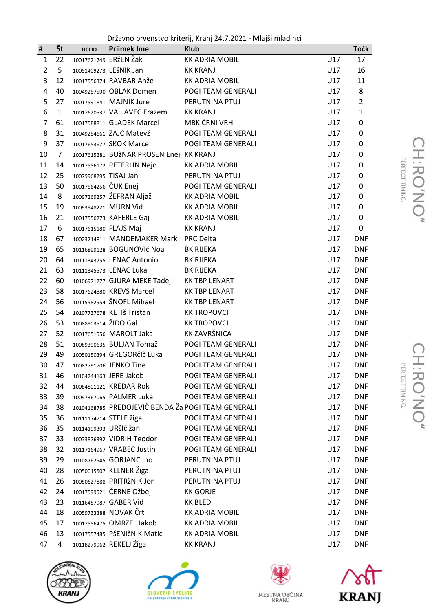Državno prvenstvo kriterij, Kranj 24.7.2021 - Mlajši mladinci

| #              | Št             | UCI ID                | <b>Priimek Ime</b>                                 | <b>Klub</b>           |     | <b>Točk</b>    |
|----------------|----------------|-----------------------|----------------------------------------------------|-----------------------|-----|----------------|
| $\mathbf{1}$   | 22             |                       | 10017621749 ERŽEN Žak                              | KK ADRIA MOBIL        | U17 | 17             |
| $\overline{2}$ | 5              |                       | 10051409273 LEŠNIK Jan                             | <b>KK KRANJ</b>       | U17 | 16             |
| 3              | 12             |                       | 10017556374 RAVBAR Anže                            | <b>KK ADRIA MOBIL</b> | U17 | 11             |
| 4              | 40             |                       | 10049257590 OBLAK Domen                            | POGI TEAM GENERALI    | U17 | 8              |
| 5              | 27             |                       | 10017591841 MAJNIK Jure                            | PERUTNINA PTUJ        | U17 | $\overline{2}$ |
| 6              | $\mathbf{1}$   |                       | 10017620537 VALJAVEC Erazem                        | <b>KK KRANJ</b>       | U17 | $\mathbf{1}$   |
| $\overline{7}$ | 61             |                       | 10017588811 GLADEK Marcel                          | MBK ČRNI VRH          | U17 | 0              |
| 8              | 31             |                       | 10049254661 ZAJC Matevž                            | POGI TEAM GENERALI    | U17 | 0              |
| 9              | 37             |                       | 10017653677 SKOK Marcel                            | POGI TEAM GENERALI    | U17 | 0              |
| 10             | $\overline{7}$ |                       | 10017615281 BOŽNAR PROSEN Enej KK KRANJ            |                       | U17 | 0              |
| 11             | 14             |                       | 10017556172 PETERLIN Nejc                          | <b>KK ADRIA MOBIL</b> | U17 | 0              |
| 12             | 25             | 10079968295 TISAJ Jan |                                                    | PERUTNINA PTUJ        | U17 | 0              |
| 13             | 50             | 10017564256 ČUK Enej  |                                                    | POGI TEAM GENERALI    | U17 | 0              |
| 14             | 8              |                       | 10097269257 ŽEFRAN Aljaž                           | <b>KK ADRIA MOBIL</b> | U17 | 0              |
| 15             | 19             |                       | 10093948221 MURN Vid                               | <b>KK ADRIA MOBIL</b> | U17 | 0              |
| 16             | 21             |                       | 10017556273 KAFERLE Gaj                            | <b>KK ADRIA MOBIL</b> | U17 | 0              |
| 17             | 6              |                       | 10017615180 FLAJS Maj                              | <b>KK KRANJ</b>       | U17 | 0              |
| 18             | 67             |                       | 10023214811 MANDEMAKER Mark PRC Delta              |                       | U17 | <b>DNF</b>     |
| 19             | 65             |                       | 10116899128 BOGUNOVIć Noa                          | <b>BK RIJEKA</b>      | U17 | <b>DNF</b>     |
| 20             | 64             |                       | 10111343755 LENAC Antonio                          | <b>BK RIJEKA</b>      | U17 | <b>DNF</b>     |
| 21             | 63             |                       | 10111345573 LENAC Luka                             | <b>BK RIJEKA</b>      | U17 | <b>DNF</b>     |
| 22             | 60             |                       | 10106971277 GJURA MEKE Tadej                       | <b>KK TBP LENART</b>  | U17 | <b>DNF</b>     |
| 23             | 58             |                       | 10017624880 KREVS Marcel                           | <b>KK TBP LENART</b>  | U17 | <b>DNF</b>     |
| 24             | 56             |                       | 10115582554 ŠNOFL Mihael                           | <b>KK TBP LENART</b>  | U17 | <b>DNF</b>     |
| 25             | 54             |                       | 10107737678 KETIŠ Tristan                          | <b>KK TROPOVCI</b>    | U17 | <b>DNF</b>     |
| 26             | 53             | 10088903514 ŽIDO Gal  |                                                    | <b>KK TROPOVCI</b>    | U17 | <b>DNF</b>     |
| 27             | 52             |                       | 10017651556 MAROLT Jaka                            | KK ZAVRŠNICA          | U17 | <b>DNF</b>     |
| 28             | 51             |                       | 10089390635 BULJAN Tomaž                           | POGI TEAM GENERALI    | U17 | <b>DNF</b>     |
| 29             | 49             |                       | 10050150394 GREGORčIč Luka                         | POGI TEAM GENERALI    | U17 | <b>DNF</b>     |
| 30             | 47             |                       | 10082791706 JENKO Tine                             | POGI TEAM GENERALI    | U17 | <b>DNF</b>     |
| 31             | 46             |                       | 10104244163 JERE Jakob                             | POGI TEAM GENERALI    | U17 | <b>DNF</b>     |
| 32             | 44             |                       | 10084801121 KREDAR Rok                             | POGI TEAM GENERALI    | U17 | <b>DNF</b>     |
| 33             | 39             |                       | 10097367065 PALMER Luka                            | POGI TEAM GENERALI    | U17 | <b>DNF</b>     |
| 34             | 38             |                       | 10104168785 PREDOJEVIČ BENDA Ža POGI TEAM GENERALI |                       | U17 | <b>DNF</b>     |
| 35             | 36             |                       | 10111174714 STELE žiga                             | POGI TEAM GENERALI    | U17 | <b>DNF</b>     |
| 36             | 35             |                       | 10114199393 URšlč žan                              | POGI TEAM GENERALI    | U17 | <b>DNF</b>     |
| 37             | 33             |                       | 10073876392 VIDRIH Teodor                          | POGI TEAM GENERALI    | U17 | <b>DNF</b>     |
| 38             | 32             |                       | 10117164967 VRABEC Justin                          | POGI TEAM GENERALI    | U17 | <b>DNF</b>     |
| 39             | 29             |                       | 10108762545 GORJANC Ino                            | PERUTNINA PTUJ        | U17 | <b>DNF</b>     |
| 40             | 28             |                       | 10050015507 KELNER Žiga                            | PERUTNINA PTUJ        | U17 | <b>DNF</b>     |
| 41             | 26             |                       | 10090627888 PRITRŽNIK Jon                          | PERUTNINA PTUJ        | U17 | <b>DNF</b>     |
| 42             | 24             |                       | 10017599521 ČERNE Ožbej                            | <b>KK GORJE</b>       | U17 | <b>DNF</b>     |
| 43             | 23             |                       | 10116487987 GABER Vid                              | <b>KK BLED</b>        | U17 | <b>DNF</b>     |
| 44             | 18             |                       | 10059733388 NOVAK Črt                              | <b>KK ADRIA MOBIL</b> | U17 | <b>DNF</b>     |
| 45             | 17             |                       | 10017556475 OMRZEL Jakob                           | <b>KK ADRIA MOBIL</b> | U17 | <b>DNF</b>     |
| 46             | 13             |                       | 10017557485 PŠENIČNIK Matic                        | <b>KK ADRIA MOBIL</b> | U17 | <b>DNF</b>     |
| 47             | 4              |                       | 10118279962 REKELJ Žiga                            | <b>KK KRANJ</b>       | U17 | <b>DNF</b>     |







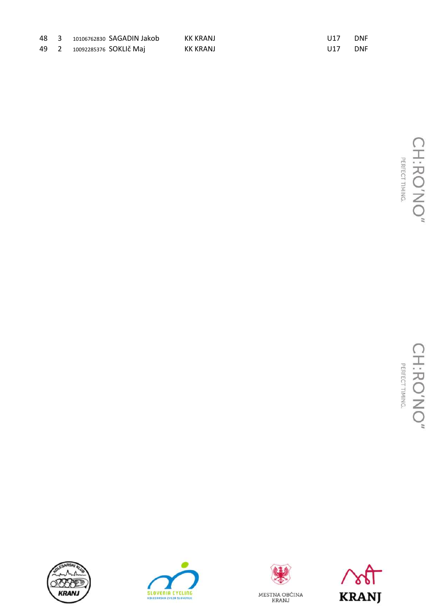|  | 48 3 10106762830 SAGADIN Jakob | KK KRANJ | U17 | <b>DNF</b> |
|--|--------------------------------|----------|-----|------------|
|  | 49 2 10092285376 SOKLIč Maj    | KK KRANJ | U17 | <b>DNF</b> |









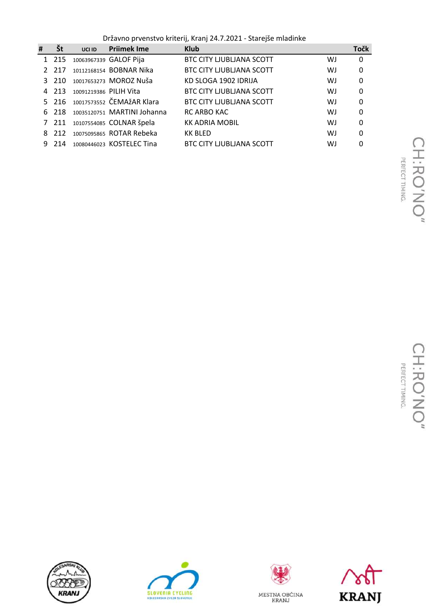Državno prvenstvo kriterij, Kranj 24.7.2021 - Starejše mladinke

| #  | Št     | UCI ID                 | <b>Priimek Ime</b>              | <b>Klub</b>                     |    | <b>Točk</b> |
|----|--------|------------------------|---------------------------------|---------------------------------|----|-------------|
|    | 1 215  |                        | 10063967339 GALOF Pija          | <b>BTC CITY LJUBLJANA SCOTT</b> | WJ | 0           |
|    | 2 217  |                        | 10112168154 BOBNAR Nika         | <b>BTC CITY LJUBLIANA SCOTT</b> | WJ | 0           |
|    | 3, 210 |                        | 10017653273 MOROZ Nuša          | KD SLOGA 1902 IDRIJA            | WJ | 0           |
|    | 4 213  | 10091219386 PILIH Vita |                                 | <b>BTC CITY LJUBLIANA SCOTT</b> | WJ | 0           |
|    |        |                        | 5 216 10017573552 ČEMAŽAR Klara | <b>BTC CITY LIUBLIANA SCOTT</b> | WJ | 0           |
|    | 6 218  |                        | 10035120751 MARTINI Johanna     | RC ARBO KAC                     | WJ | 0           |
|    | 7 211  |                        | 10107554085 COLNAR špela        | <b>KK ADRIA MOBIL</b>           | WJ | 0           |
| 8. | 212    |                        | 10075095865 ROTAR Rebeka        | <b>KK BLED</b>                  | WJ | 0           |
| 9  | 214    |                        | 10080446023 KOSTELEC Tina       | BTC CITY LJUBLJANA SCOTT        | WJ | 0           |







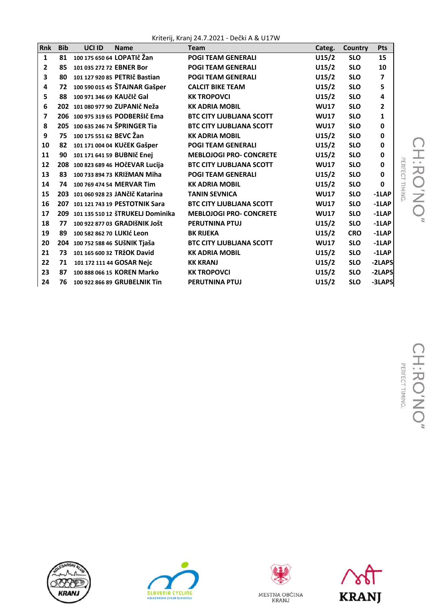Kriterij, Kranj 24.7.2021 - Dečki A & U17W

| Rnk          | <b>Bib</b> | UCI ID                    | <b>Name</b>                          | <b>Team</b>                     | Categ.      | <b>Country</b> | <b>Pts</b> |                    |
|--------------|------------|---------------------------|--------------------------------------|---------------------------------|-------------|----------------|------------|--------------------|
| $\mathbf{1}$ | 81         |                           | 100 175 650 64 LOPATIč Žan           | <b>POGI TEAM GENERALI</b>       | U15/2       | <b>SLO</b>     | 15         |                    |
| 2            | 85         | 101 035 272 72 EBNER Bor  |                                      | <b>POGI TEAM GENERALI</b>       | U15/2       | <b>SLO</b>     | 10         |                    |
| 3            | 80         |                           | 101 127 920 85 PETRIč Bastian        | <b>POGI TEAM GENERALI</b>       | U15/2       | <b>SLO</b>     | 7          |                    |
| 4            | 72         |                           | 100 590 015 45 ŠTAJNAR Gašper        | <b>CALCIT BIKE TEAM</b>         | U15/2       | <b>SLO</b>     | 5          |                    |
| 5            | 88         | 100 971 346 69 KAUČIČ Gal |                                      | <b>KK TROPOVCI</b>              | U15/2       | <b>SLO</b>     | 4          |                    |
| 6            |            |                           | 202 101 080 977 90 ZUPANIČ Neža      | <b>KK ADRIA MOBIL</b>           | <b>WU17</b> | <b>SLO</b>     | 2          |                    |
| 7            |            |                           | 206 100 975 319 65 PODBERŠIČE ma     | <b>BTC CITY LJUBLIANA SCOTT</b> | <b>WU17</b> | <b>SLO</b>     | 1          |                    |
| 8            |            |                           | 205 100 635 246 74 ŠPRINGER Tia      | <b>BTC CITY LJUBLIANA SCOTT</b> | <b>WU17</b> | <b>SLO</b>     | 0          |                    |
| 9            | 75         | 100 175 551 62 BEVC Žan   |                                      | <b>KK ADRIA MOBIL</b>           | U15/2       | <b>SLO</b>     | 0          |                    |
| 10           | 82         |                           | 101 171 004 04 KUčEK Gašper          | <b>POGI TEAM GENERALI</b>       | U15/2       | <b>SLO</b>     | 0          |                    |
| 11           | 90         |                           | 101 171 641 59 BUBNIč Enej           | <b>MEBLOJOGI PRO- CONCRETE</b>  | U15/2       | <b>SLO</b>     | 0          | τ                  |
| 12           |            |                           | 208 100 823 689 46 HOČEVAR Lucija    | <b>BTC CITY LJUBLIANA SCOTT</b> | <b>WU17</b> | <b>SLO</b>     | 0          | ERFECT TIMING<br>刀 |
| 13           | 83         |                           | 100 733 894 73 KRIŽMAN Miha          | <b>POGI TEAM GENERALI</b>       | U15/2       | <b>SLO</b>     | 0          |                    |
| 14           | 74         |                           | 100 769 474 54 MERVAR Tim            | <b>KK ADRIA MOBIL</b>           | U15/2       | <b>SLO</b>     | 0          | O                  |
| 15           |            |                           | 203 101 060 928 23 JANČIČ Katarina   | <b>TANIN SEVNICA</b>            | <b>WU17</b> | <b>SLO</b>     | $-1$ LAP   | Z                  |
| 16           |            |                           | 207 101 121 743 19 PESTOTNIK Sara    | <b>BTC CITY LJUBLIANA SCOTT</b> | <b>WU17</b> | <b>SLO</b>     | $-1$ LAP   |                    |
| 17           |            |                           | 209 101 135 510 12 ŠTRUKELJ Dominika | <b>MEBLOJOGI PRO- CONCRETE</b>  | <b>WU17</b> | <b>SLO</b>     | $-1$ LAP   |                    |
| 18           | 77         |                           | 100 922 877 03 GRADIŠNIK JOŠt        | <b>PERUTNINA PTUJ</b>           | U15/2       | <b>SLO</b>     | $-1$ LAP   |                    |
| 19           | 89         | 100 582 862 70 LUKIć Leon |                                      | <b>BK RIJEKA</b>                | U15/2       | <b>CRO</b>     | $-1$ LAP   |                    |
| 20           |            |                           | 204 100 752 588 46 SUŠNIK Tjaša      | <b>BTC CITY LJUBLIANA SCOTT</b> | <b>WU17</b> | <b>SLO</b>     | $-1$ LAP   |                    |
| 21           | 73         |                           | 101 165 600 32 TRŽOK David           | <b>KK ADRIA MOBIL</b>           | U15/2       | <b>SLO</b>     | $-1$ LAP   |                    |
| 22           | 71         |                           | 101 172 111 44 GOSAR Nejc            | <b>KK KRANJ</b>                 | U15/2       | <b>SLO</b>     | -2LAPS     |                    |
| 23           | 87         |                           | 100 888 066 15 KOREN Marko           | <b>KK TROPOVCI</b>              | U15/2       | <b>SLO</b>     | -2LAPS     |                    |
| 24           | 76         |                           | 100 922 866 89 GRUBELNIK Tin         | <b>PERUTNINA PTUJ</b>           | U15/2       | <b>SLO</b>     | -3LAPS     |                    |







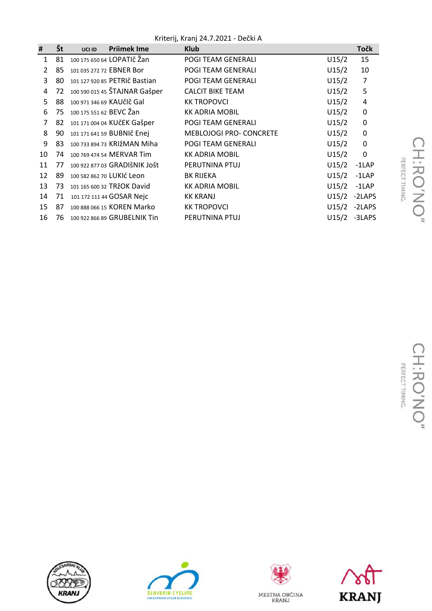Kriterij, Kranj 24.7.2021 - Dečki A

| #              | Št | UCI ID                  | <b>Prijmek Ime</b>            | <b>Klub</b>                    |       | <b>Točk</b>    |
|----------------|----|-------------------------|-------------------------------|--------------------------------|-------|----------------|
| $\mathbf{1}$   | 81 |                         | 100 175 650 64 LOPATIČ Žan    | <b>POGI TEAM GENERALI</b>      | U15/2 | 15             |
| $\overline{2}$ | 85 |                         | 101 035 272 72 EBNER Bor      | POGI TEAM GENERALI             | U15/2 | 10             |
| 3              | 80 |                         | 101 127 920 85 PETRIČ Bastian | POGI TEAM GENERALI             | U15/2 | 7              |
| 4              | 72 |                         | 100 590 015 45 ŠTAJNAR Gašper | <b>CALCIT BIKE TEAM</b>        | U15/2 | 5              |
| 5              | 88 |                         | 100 971 346 69 KAUČIČ Gal     | <b>KK TROPOVCI</b>             | U15/2 | 4              |
| 6              | 75 | 100 175 551 62 BEVC Zan |                               | <b>KK ADRIA MOBIL</b>          | U15/2 | 0              |
| 7              | 82 |                         | 101 171 004 04 KUČEK Gašper   | POGI TEAM GENERALI             | U15/2 | $\pmb{0}$      |
| 8              | 90 |                         | 101 171 641 59 BUBNIč Enej    | <b>MEBLOJOGI PRO- CONCRETE</b> | U15/2 | $\pmb{0}$      |
| 9              | 83 |                         | 100 733 894 73 KRIŽMAN Miha   | <b>POGI TEAM GENERALI</b>      | U15/2 | $\pmb{0}$      |
| 10             | 74 |                         | 100 769 474 54 MERVAR Tim     | <b>KK ADRIA MOBIL</b>          | U15/2 | $\mathbf 0$    |
| 11             | 77 |                         | 100 922 877 03 GRADIŠNIK JOŠt | PERUTNINA PTUJ                 | U15/2 | $-1$ LAP       |
| 12             | 89 |                         | 100 582 862 70 LUKIĆ Leon     | <b>BK RIJEKA</b>               | U15/2 | $-1$ LAP       |
| 13             | 73 |                         | 101 165 600 32 TRŽOK David    | <b>KK ADRIA MOBIL</b>          | U15/2 | $-1$ LAP       |
| 14             | 71 |                         | 101 172 111 44 GOSAR Nejc     | <b>KK KRANJ</b>                |       | $U15/2$ -2LAPS |
| 15             | 87 |                         | 100 888 066 15 KOREN Marko    | <b>KK TROPOVCI</b>             |       | $U15/2 -2LAPS$ |
| 16             | 76 |                         | 100 922 866 89 GRUBELNIK Tin  | PERUTNINA PTUJ                 | U15/2 | -3LAPS         |







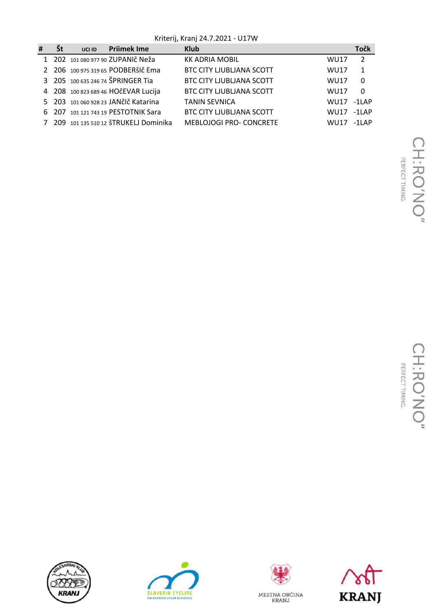Kriterij, Kranj 24.7.2021 - U17W

| # | St | UCI ID | <b>Prijmek Ime</b>                   | <b>Klub</b>                     |             | Točk     |
|---|----|--------|--------------------------------------|---------------------------------|-------------|----------|
|   |    |        | 202 101 080 977 90 ZUPANIČ Neža      | <b>KK ADRIA MOBIL</b>           | <b>WU17</b> | 2        |
|   |    |        | 2 206 100 975 319 65 PODBERŠIČEMA    | <b>BTC CITY LJUBLIANA SCOTT</b> | <b>WU17</b> | 1        |
|   |    |        | 3 205 100 635 246 74 ŠPRINGER Tia    | <b>BTC CITY LJUBLIANA SCOTT</b> | <b>WU17</b> | 0        |
|   |    |        | 4 208 100 823 689 46 HOČEVAR Lucija  | <b>BTC CITY LJUBLIANA SCOTT</b> | <b>WU17</b> | $\Omega$ |
|   |    |        | 5 203 101 060 928 23 JANČIČ Katarina | <b>TANIN SEVNICA</b>            | WU17        | $-1$ LAP |
|   |    |        | 6 207 101 121 743 19 PESTOTNIK Sara  | <b>BTC CITY LIUBLIANA SCOTT</b> | WU17        | $-1$ LAP |
|   |    |        | 209 101 135 510 12 ŠTRUKELJ Dominika | <b>MEBLOJOGI PRO- CONCRETE</b>  | WU17        | $-1$ LAP |







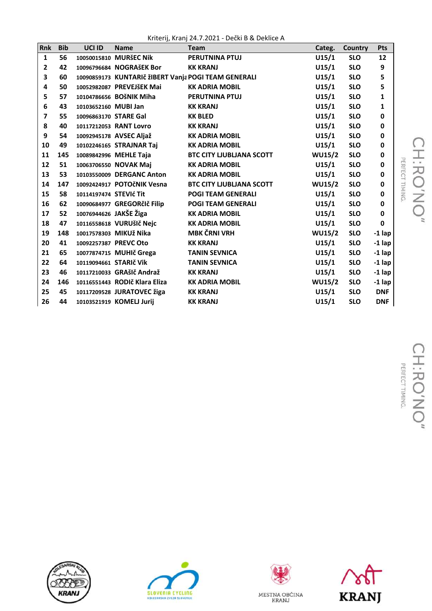Kriterij, Kranj 24.7.2021 - Dečki B & Deklice A

| Rnk            | <b>Bib</b> | UCI ID                 | <b>Name</b>                                          | <b>Team</b>                     | Categ.        | Country    | Pts          |
|----------------|------------|------------------------|------------------------------------------------------|---------------------------------|---------------|------------|--------------|
| $\mathbf{1}$   | 56         |                        | 10050015810 MURŠEC Nik                               | <b>PERUTNINA PTUJ</b>           | U15/1         | <b>SLO</b> | 12           |
| $\overline{2}$ | 42         |                        | 10096796684 NOGRAŠEK Bor                             | <b>KK KRANJ</b>                 | U15/1         | <b>SLO</b> | 9            |
| 3              | 60         |                        | 10090859173 KUNTARIČ ŽIBERT Vanja POGI TEAM GENERALI |                                 | U15/1         | <b>SLO</b> | 5            |
| 4              | 50         |                        | 10052982087 PREVEJŠEK Mai                            | <b>KK ADRIA MOBIL</b>           | U15/1         | <b>SLO</b> | 5            |
| 5              | 57         |                        | 10104786656 BOŠNIK Miha                              | PERUTNINA PTUJ                  | U15/1         | <b>SLO</b> | $\mathbf{1}$ |
| 6              | 43         | 10103652160 MUBI Jan   |                                                      | <b>KK KRANJ</b>                 | U15/1         | <b>SLO</b> | $\mathbf{1}$ |
| $\overline{ }$ | 55         | 10096863170 STARE Gal  |                                                      | <b>KK BLED</b>                  | U15/1         | <b>SLO</b> | 0            |
| 8              | 40         |                        | 10117212053 RANT Lovro                               | <b>KK KRANJ</b>                 | U15/1         | <b>SLO</b> | 0            |
| 9              | 54         |                        | 10092945178 AVSEC Aljaž                              | <b>KK ADRIA MOBIL</b>           | U15/1         | <b>SLO</b> | 0            |
| 10             | 49         |                        | 10102246165 STRAJNAR Taj                             | <b>KK ADRIA MOBIL</b>           | U15/1         | <b>SLO</b> | 0            |
| 11             | 145        |                        | 10089842996 MEHLE Taja                               | <b>BTC CITY LJUBLIANA SCOTT</b> | <b>WU15/2</b> | <b>SLO</b> | $\pmb{0}$    |
| 12             | 51         |                        | 10063706550 NOVAK Maj                                | <b>KK ADRIA MOBIL</b>           | U15/1         | <b>SLO</b> | 0            |
| 13             | 53         |                        | 10103550009 DERGANC Anton                            | <b>KK ADRIA MOBIL</b>           | U15/1         | <b>SLO</b> | 0            |
| 14             | 147        |                        | 10092424917 POTOČNIK Vesna                           | <b>BTC CITY LIUBLIANA SCOTT</b> | <b>WU15/2</b> | <b>SLO</b> | 0            |
| 15             | 58         | 10114197474 STEVIć Tit |                                                      | <b>POGI TEAM GENERALI</b>       | U15/1         | <b>SLO</b> | 0            |
| 16             | 62         |                        | 10090684977 GREGORčIč Filip                          | <b>POGI TEAM GENERALI</b>       | U15/1         | <b>SLO</b> | 0            |
| 17             | 52         | 10076944626 JAKŠE Žiga |                                                      | <b>KK ADRIA MOBIL</b>           | U15/1         | <b>SLO</b> | 0            |
| 18             | 47         |                        | 10116558618 VURUŠIČ Nejc                             | <b>KK ADRIA MOBIL</b>           | U15/1         | <b>SLO</b> | $\mathbf 0$  |
| 19             | 148        |                        | 10017578303 MIKUž Nika                               | <b>MBK ČRNI VRH</b>             | <b>WU15/2</b> | <b>SLO</b> | $-1$ lap     |
| 20             | 41         | 10092257387 PREVC Oto  |                                                      | <b>KK KRANJ</b>                 | U15/1         | <b>SLO</b> | $-1$ lap     |
| 21             | 65         |                        | 10077874715 MUHIč Grega                              | <b>TANIN SEVNICA</b>            | U15/1         | <b>SLO</b> | $-1$ lap     |
| 22             | 64         | 10119094661 STARIČ Vik |                                                      | <b>TANIN SEVNICA</b>            | U15/1         | <b>SLO</b> | $-1$ lap     |
| 23             | 46         |                        | 10117210033 GRAŠIČ Andraž                            | <b>KK KRANJ</b>                 | U15/1         | <b>SLO</b> | $-1$ lap     |
| 24             | 146        |                        | 10116551443 RODIč Klara Eliza                        | <b>KK ADRIA MOBIL</b>           | <b>WU15/2</b> | <b>SLO</b> | $-1$ lap     |
| 25             | 45         |                        | 10117209528 JURATOVEC žiga                           | <b>KK KRANJ</b>                 | U15/1         | <b>SLO</b> | <b>DNF</b>   |
| 26             | 44         |                        | 10103521919 KOMELJ Jurij                             | <b>KK KRANJ</b>                 | U15/1         | <b>SLO</b> | <b>DNF</b>   |







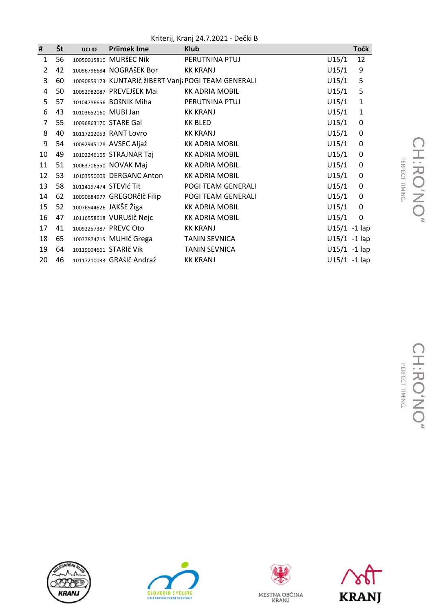Kriterij, Kranj 24.7.2021 - Dečki B

| #            | Št | UCI ID               | <b>Priimek Ime</b>          | <b>Klub</b>                                          |                 | <b>Točk</b>  |
|--------------|----|----------------------|-----------------------------|------------------------------------------------------|-----------------|--------------|
| $\mathbf{1}$ | 56 |                      | 10050015810 MURŠEC Nik      | PERUTNINA PTUJ                                       | U15/1           | 12           |
| 2            | 42 |                      | 10096796684 NOGRAŠEK Bor    | KK KRANJ                                             | U15/1           | 9            |
| 3            | 60 |                      |                             | 10090859173 KUNTARIČ ŽIBERT Vanja POGI TEAM GENERALI | U15/1           | 5            |
| 4            | 50 |                      | 10052982087 PREVEJŠEK Mai   | <b>KK ADRIA MOBIL</b>                                | U15/1           | 5            |
| 5            | 57 |                      | 10104786656 BOŠNIK Miha     | PERUTNINA PTUJ                                       | U15/1           | $\mathbf 1$  |
| 6            | 43 | 10103652160 MUBI Jan |                             | <b>KK KRANJ</b>                                      | U15/1           | $\mathbf{1}$ |
| 7            | 55 |                      | 10096863170 STARE Gal       | KK BLED                                              | U15/1           | $\mathbf 0$  |
| 8            | 40 |                      | 10117212053 RANT Lovro      | KK KRANJ                                             | U15/1           | 0            |
| 9            | 54 |                      | 10092945178 AVSEC Aljaž     | <b>KK ADRIA MOBIL</b>                                | U15/1           | 0            |
| 10           | 49 |                      | 10102246165 STRAJNAR Taj    | <b>KK ADRIA MOBIL</b>                                | U15/1           | 0            |
| 11           | 51 |                      | 10063706550 NOVAK Maj       | <b>KK ADRIA MOBIL</b>                                | U15/1           | $\pmb{0}$    |
| 12           | 53 |                      | 10103550009 DERGANC Anton   | <b>KK ADRIA MOBIL</b>                                | U15/1           | 0            |
| 13           | 58 |                      | 10114197474 STEVIć Tit      | POGI TEAM GENERALI                                   | U15/1           | $\pmb{0}$    |
| 14           | 62 |                      | 10090684977 GREGORčIč Filip | POGI TEAM GENERALI                                   | U15/1           | $\pmb{0}$    |
| 15           | 52 |                      | 10076944626 JAKŠE Žiga      | <b>KK ADRIA MOBIL</b>                                | U15/1           | $\mathbf 0$  |
| 16           | 47 |                      | 10116558618 VURUŠIČ Nejc    | <b>KK ADRIA MOBIL</b>                                | U15/1           | $\mathbf 0$  |
| 17           | 41 |                      | 10092257387 PREVC Oto       | <b>KK KRANJ</b>                                      | $U15/1 - 1$ lap |              |
| 18           | 65 |                      | 10077874715 MUHIč Grega     | <b>TANIN SEVNICA</b>                                 | $U15/1 - 1$ lap |              |
| 19           | 64 |                      | 10119094661 STARIČ Vik      | <b>TANIN SEVNICA</b>                                 | $U15/1 - 1$ lap |              |
| 20           | 46 |                      | 10117210033 GRAŠIč Andraž   | <b>KK KRANJ</b>                                      | $U15/1 - 1$ lap |              |







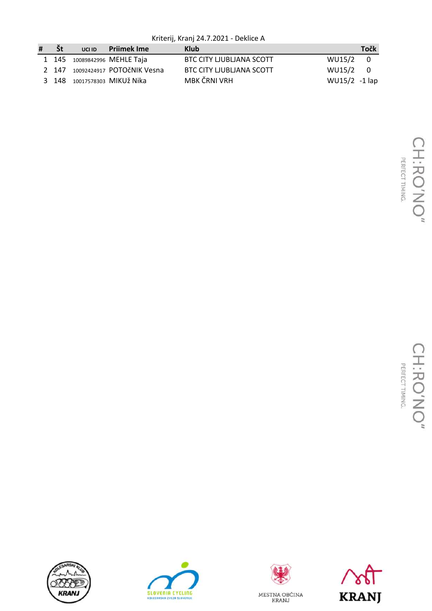Kriterij, Kranj 24.7.2021 - Deklice A

| # | - Št | UCI ID | <b>Prijmek Ime</b>               | Klub                            |               | Točk |
|---|------|--------|----------------------------------|---------------------------------|---------------|------|
|   |      |        | 1 145 10089842996 MEHLE Taja     | BTC CITY LJUBLJANA SCOTT        | $WU15/2$ 0    |      |
|   |      |        | 2 147 10092424917 POTOčNIK Vesna | <b>BTC CITY LJUBLIANA SCOTT</b> | $WU15/2$ 0    |      |
|   |      |        | 3 148 10017578303 MIKUŽ Nika     | MBK ČRNI VRH                    | WU15/2 -1 lap |      |







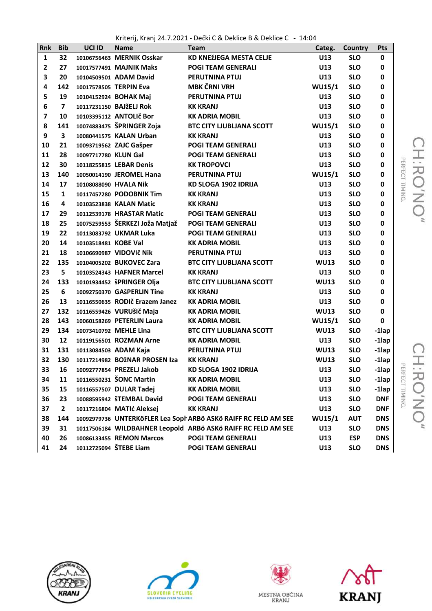Kriterij, Kranj 24.7.2021 - Dečki C & Deklice B & Deklice C - 14:04

| Rnk          | <b>Bib</b>              | UCI ID                | <b>Name</b>                     | <b>Team</b>                                                     | Categ.        | Country    | Pts        |                     |
|--------------|-------------------------|-----------------------|---------------------------------|-----------------------------------------------------------------|---------------|------------|------------|---------------------|
| $\mathbf{1}$ | 32                      |                       | 10106756463 MERNIK Osskar       | KD KNEŽJEGA MESTA CELJE                                         | U13           | <b>SLO</b> | 0          |                     |
| $\mathbf{2}$ | 27                      |                       | 10017577491 MAJNIK Maks         | <b>POGI TEAM GENERALI</b>                                       | U13           | <b>SLO</b> | 0          |                     |
| 3            | 20                      |                       | 10104509501 ADAM David          | PERUTNINA PTUJ                                                  | U13           | <b>SLO</b> | 0          |                     |
| 4            | 142                     |                       | 10017578505 TERPIN Eva          | <b>MBK ČRNI VRH</b>                                             | <b>WU15/1</b> | <b>SLO</b> | 0          |                     |
| 5            | 19                      |                       | 10104152924 BOHAK Maj           | PERUTNINA PTUJ                                                  | U13           | <b>SLO</b> | 0          |                     |
| 6            | $\overline{\mathbf{z}}$ |                       | 10117231150 BAJžELJ Rok         | <b>KK KRANJ</b>                                                 | U13           | <b>SLO</b> | 0          |                     |
| 7            | 10                      |                       | 10103395112 ANTOLIč Bor         | <b>KK ADRIA MOBIL</b>                                           | U13           | <b>SLO</b> | 0          |                     |
| 8            | 141                     |                       | 10074883475 ŠPRINGER Zoja       | <b>BTC CITY LJUBLIANA SCOTT</b>                                 | <b>WU15/1</b> | <b>SLO</b> | 0          |                     |
| 9            | 3                       |                       | 10080441575 KALAN Urban         | <b>KK KRANJ</b>                                                 | U13           | <b>SLO</b> | 0          |                     |
| 10           | 21                      |                       | 10093719562 ZAJC Gašper         | <b>POGI TEAM GENERALI</b>                                       | U13           | <b>SLO</b> | 0          |                     |
| 11           | 28                      | 10097717780 KLUN Gal  |                                 | <b>POGI TEAM GENERALI</b>                                       | U13           | <b>SLO</b> | 0          |                     |
| 12           | 30                      |                       | 10118255815 LEBAR Denis         | <b>KK TROPOVCI</b>                                              | U13           | <b>SLO</b> | 0          |                     |
| 13           | 140                     |                       | 10050014190 JEROMEL Hana        | PERUTNINA PTUJ                                                  | <b>WU15/1</b> | <b>SLO</b> | 0          | PERFECT TIMING<br>ᅎ |
| 14           | 17                      | 10108088090 HVALA Nik |                                 | KD SLOGA 1902 IDRIJA                                            | U13           | <b>SLO</b> | 0          | $\bigcirc$          |
| 15           | $\mathbf{1}$            |                       | 10117457280 PODOBNIK Tim        | <b>KK KRANJ</b>                                                 | U13           | <b>SLO</b> | 0          |                     |
| 16           | 4                       |                       | 10103523838 KALAN Matic         | <b>KK KRANJ</b>                                                 | U13           | <b>SLO</b> | 0          | $\leq$              |
| 17           | 29                      |                       | 10112539178 HRASTAR Matic       | <b>POGI TEAM GENERALI</b>                                       | U13           | <b>SLO</b> | 0          |                     |
| 18           | 25                      |                       | 10075259553 ŠERKEZI Joža Matjaž | <b>POGI TEAM GENERALI</b>                                       | U13           | <b>SLO</b> | 0          |                     |
| 19           | 22                      |                       | 10113083792 UKMAR Luka          | <b>POGI TEAM GENERALI</b>                                       | U13           | <b>SLO</b> | 0          |                     |
| 20           | 14                      | 10103518481 KOBE Val  |                                 | <b>KK ADRIA MOBIL</b>                                           | U13           | <b>SLO</b> | 0          |                     |
| 21           | 18                      |                       | 10106690987 VIDOVIč Nik         | PERUTNINA PTUJ                                                  | U13           | <b>SLO</b> | 0          |                     |
| 22           | 135                     |                       | 10104005202 BUKOVEC Zara        | <b>BTC CITY LJUBLIANA SCOTT</b>                                 | <b>WU13</b>   | <b>SLO</b> | 0          |                     |
| 23           | 5                       |                       | 10103524343 HAFNER Marcel       | <b>KK KRANJ</b>                                                 | U13           | <b>SLO</b> | 0          |                     |
| 24           | 133                     |                       | 10101934452 šPRINGER Olja       | <b>BTC CITY LJUBLIANA SCOTT</b>                                 | <b>WU13</b>   | <b>SLO</b> | 0          |                     |
| 25           | 6                       |                       | 10092750370 GAŠPERLIN Tine      | <b>KK KRANJ</b>                                                 | U13           | <b>SLO</b> | 0          |                     |
| 26           | 13                      |                       | 10116550635 RODIč Erazem Janez  | <b>KK ADRIA MOBIL</b>                                           | U13           | <b>SLO</b> | 0          |                     |
| 27           | 132                     |                       | 10116559426 VURUŠIČ Maja        | <b>KK ADRIA MOBIL</b>                                           | <b>WU13</b>   | <b>SLO</b> | 0          |                     |
| 28           | 143                     |                       | 10060158269 PETERLIN Laura      | <b>KK ADRIA MOBIL</b>                                           | <b>WU15/1</b> | <b>SLO</b> | 0          |                     |
| 29           | 134                     |                       | 10073410792 MEHLE Lina          | <b>BTC CITY LJUBLIANA SCOTT</b>                                 | <b>WU13</b>   | <b>SLO</b> | $-1$ lap   |                     |
| 30           | 12                      |                       | 10119156501 ROZMAN Arne         | <b>KK ADRIA MOBIL</b>                                           | U13           | <b>SLO</b> | $-1$ lap   |                     |
| 31           |                         |                       | 131 10113084503 ADAM Kaja       | <b>PERUTNINA PTUJ</b>                                           | <b>WU13</b>   | <b>SLO</b> | $-1$ lap   |                     |
| 32           | 130                     |                       | 10117214982 BOŽNAR PROSEN Iza   | <b>KK KRANJ</b>                                                 | <b>WU13</b>   | <b>SLO</b> | $-1$ lap   |                     |
| 33           | 16                      |                       | 10092777854 PREZELJ Jakob       | KD SLOGA 1902 IDRIJA                                            | U13           | <b>SLO</b> | -1lap      |                     |
| 34           | 11                      |                       | 10116550231 ŠONC Martin         | <b>KK ADRIA MOBIL</b>                                           | U13           | <b>SLO</b> | -1lap      | ERFECT TIMING<br>ᆽ  |
| 35           | 15                      |                       | 10116557507 DULAR Tadej         | <b>KK ADRIA MOBIL</b>                                           | U13           | <b>SLO</b> | $-1$ lap   | О                   |
| 36           | 23                      |                       | 10088595942 ŠTEMBAL David       | <b>POGI TEAM GENERALI</b>                                       | U13           | <b>SLO</b> | <b>DNF</b> |                     |
| 37           | $\mathbf{2}$            |                       | 10117216804 MATIć Aleksej       | <b>KK KRANJ</b>                                                 | U13           | <b>SLO</b> | <b>DNF</b> | Z                   |
| 38           | 144                     |                       |                                 | 10092979736 UNTERKÖFLER Lea Soph ARBÖ ASKÖ RAIFF RC FELD AM SEE | <b>WU15/1</b> | <b>AUT</b> | <b>DNS</b> |                     |
| 39           | 31                      |                       |                                 | 10117506184 WILDBAHNER Leopold ARBÖ ASKÖ RAIFF RC FELD AM SEE   | U13           | <b>SLO</b> | <b>DNS</b> |                     |
| 40           | 26                      |                       | 10086133455 REMON Marcos        | <b>POGI TEAM GENERALI</b>                                       | U13           | <b>ESP</b> | <b>DNS</b> |                     |
| 41           | 24                      |                       | 10112725094 ŠTEBE Liam          | <b>POGI TEAM GENERALI</b>                                       | U13           | <b>SLO</b> | <b>DNS</b> |                     |









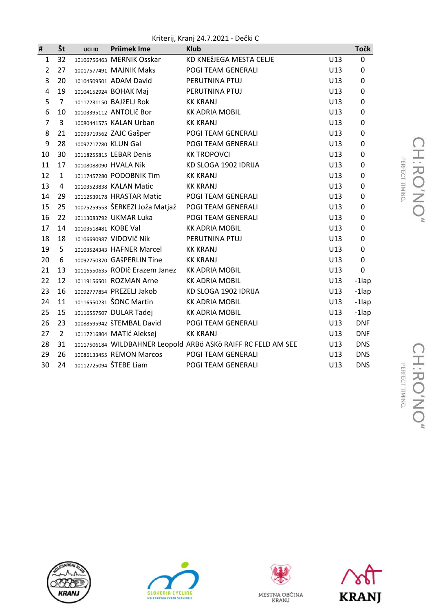Kriterij, Kranj 24.7.2021 - Dečki C

| #              | Št             | UCI ID               | <b>Priimek Ime</b>              | <b>Klub</b>                                                   |     | <b>Točk</b> |
|----------------|----------------|----------------------|---------------------------------|---------------------------------------------------------------|-----|-------------|
| $\mathbf{1}$   | 32             |                      | 10106756463 MERNIK Osskar       | KD KNEŽJEGA MESTA CELJE                                       | U13 | 0           |
| $\overline{2}$ | 27             |                      | 10017577491 MAJNIK Maks         | POGI TEAM GENERALI                                            | U13 | 0           |
| 3              | 20             |                      | 10104509501 ADAM David          | PERUTNINA PTUJ                                                | U13 | 0           |
| $\overline{4}$ | 19             |                      | 10104152924 BOHAK Maj           | PERUTNINA PTUJ                                                | U13 | 0           |
| 5              | $\overline{7}$ |                      | 10117231150 BAJŽELJ Rok         | <b>KK KRANJ</b>                                               | U13 | 0           |
| 6              | 10             |                      | 10103395112 ANTOLIč Bor         | <b>KK ADRIA MOBIL</b>                                         | U13 | 0           |
| $\overline{7}$ | 3              |                      | 10080441575 KALAN Urban         | <b>KK KRANJ</b>                                               | U13 | 0           |
| 8              | 21             |                      | 10093719562 ZAJC Gašper         | POGI TEAM GENERALI                                            | U13 | 0           |
| 9              | 28             | 10097717780 KLUN Gal |                                 | POGI TEAM GENERALI                                            | U13 | 0           |
| 10             | 30             |                      | 10118255815 LEBAR Denis         | <b>KK TROPOVCI</b>                                            | U13 | 0           |
| 11             | 17             |                      | 10108088090 HVALA Nik           | KD SLOGA 1902 IDRIJA                                          | U13 | 0           |
| 12             | $\mathbf{1}$   |                      | 10117457280 PODOBNIK Tim        | <b>KK KRANJ</b>                                               | U13 | 0           |
| 13             | 4              |                      | 10103523838 KALAN Matic         | <b>KK KRANJ</b>                                               | U13 | 0           |
| 14             | 29             |                      | 10112539178 HRASTAR Matic       | POGI TEAM GENERALI                                            | U13 | 0           |
| 15             | 25             |                      | 10075259553 ŠERKEZI Joža Matjaž | POGI TEAM GENERALI                                            | U13 | 0           |
| 16             | 22             |                      | 10113083792 UKMAR Luka          | POGI TEAM GENERALI                                            | U13 | 0           |
| 17             | 14             | 10103518481 KOBE Val |                                 | <b>KK ADRIA MOBIL</b>                                         | U13 | 0           |
| 18             | 18             |                      | 10106690987 VIDOVIČ Nik         | PERUTNINA PTUJ                                                | U13 | 0           |
| 19             | 5              |                      | 10103524343 HAFNER Marcel       | <b>KK KRANJ</b>                                               | U13 | 0           |
| 20             | 6              |                      | 10092750370 GAŠPERLIN Tine      | <b>KK KRANJ</b>                                               | U13 | 0           |
| 21             | 13             |                      | 10116550635 RODIč Erazem Janez  | <b>KK ADRIA MOBIL</b>                                         | U13 | 0           |
| 22             | 12             |                      | 10119156501 ROZMAN Arne         | <b>KK ADRIA MOBIL</b>                                         | U13 | -1lap       |
| 23             | 16             |                      | 10092777854 PREZELJ Jakob       | KD SLOGA 1902 IDRIJA                                          | U13 | -1lap       |
| 24             | 11             |                      | 10116550231 ŠONC Martin         | <b>KK ADRIA MOBIL</b>                                         | U13 | -1lap       |
| 25             | 15             |                      | 10116557507 DULAR Tadej         | <b>KK ADRIA MOBIL</b>                                         | U13 | $-1$ lap    |
| 26             | 23             |                      | 10088595942 ŠTEMBAL David       | POGI TEAM GENERALI                                            | U13 | <b>DNF</b>  |
| 27             | $\overline{2}$ |                      | 10117216804 MATIć Aleksej       | <b>KK KRANJ</b>                                               | U13 | <b>DNF</b>  |
| 28             | 31             |                      |                                 | 10117506184 WILDBAHNER Leopold ARBÖ ASKÖ RAIFF RC FELD AM SEE | U13 | <b>DNS</b>  |
| 29             | 26             |                      | 10086133455 REMON Marcos        | POGI TEAM GENERALI                                            | U13 | <b>DNS</b>  |
| 30             | 24             |                      | 10112725094 ŠTEBE Liam          | POGI TEAM GENERALI                                            | U13 | <b>DNS</b>  |







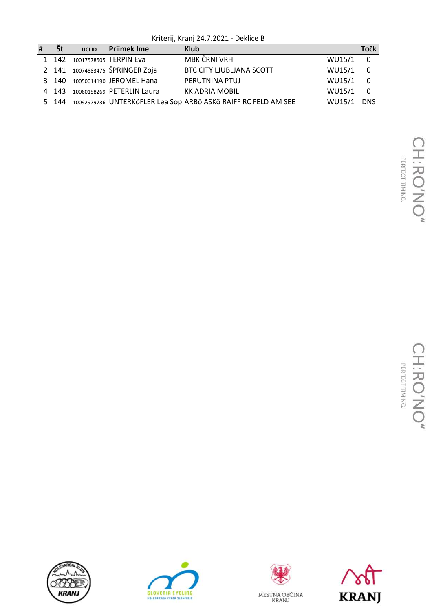Kriterij, Kranj 24.7.2021 - Deklice B

| # | Št | UCI ID | <b>Priimek Ime</b>               | <b>Klub</b>                                                           |          | <b>Točk</b> |
|---|----|--------|----------------------------------|-----------------------------------------------------------------------|----------|-------------|
|   |    |        | 1 142 10017578505 TERPIN Eva     | MBK ČRNI VRH                                                          | WU15/1 0 |             |
|   |    |        | 2 141 10074883475 ŠPRINGER Zoja  | <b>BTC CITY LJUBLJANA SCOTT</b>                                       | WU15/1 0 |             |
|   |    |        | 3 140 10050014190 JEROMEL Hana   | PERUTNINA PTUJ                                                        | WU15/1 0 |             |
|   |    |        | 4 143 10060158269 PETERLIN Laura | <b>KK ADRIA MOBIL</b>                                                 | WU15/1 0 |             |
|   |    |        |                                  | 5 144 10092979736 UNTERKÖFLER Lea Sopl ARBÖ ASKÖ RAIFF RC FELD AM SEE | WU15/1   | DNS         |







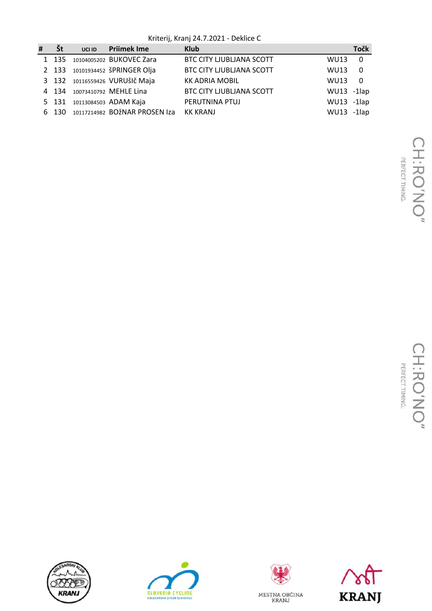Kriterij, Kranj 24.7.2021 - Deklice C

| # | <b>St</b> | UCI ID Priimek Ime                  | <b>Klub</b>                     |                | <b>Točk</b>             |
|---|-----------|-------------------------------------|---------------------------------|----------------|-------------------------|
|   | 1 135     | 10104005202 BUKOVEC Zara            | <b>BTC CITY LJUBLJANA SCOTT</b> | <b>WU13</b>    | $\overline{\mathbf{0}}$ |
|   |           | 2 133 10101934452 ŠPRINGER Olja     | <b>BTC CITY LJUBLJANA SCOTT</b> | <b>WU13</b>    | $\overline{\mathbf{0}}$ |
|   |           | 3 132 10116559426 VURUŠIČ Maja      | <b>KK ADRIA MOBIL</b>           | <b>WU13</b>    | $\overline{0}$          |
|   |           | 4 134 10073410792 MEHLE Lina        | <b>BTC CITY LJUBLJANA SCOTT</b> | $WU13 - 1$ lap |                         |
|   |           | 5 131 10113084503 ADAM Kaja         | PERUTNINA PTUJ                  | WU13 -1lap     |                         |
|   |           | 6 130 10117214982 BOŽNAR PROSEN Iza | KK KRANJ                        | $WU13 - 1$ lap |                         |